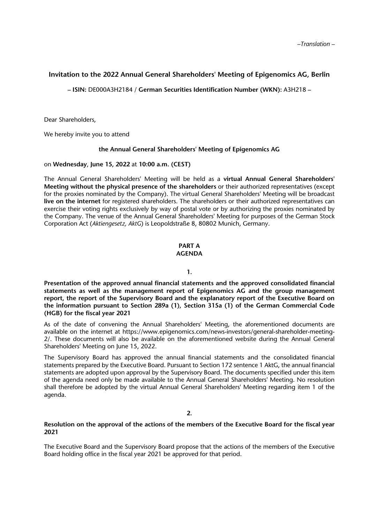# **Invitation to the 2022 Annual General Shareholders' Meeting of Epigenomics AG, Berlin**

**– ISIN:** DE000A3H2184 / **German Securities Identification Number (WKN):** A3H218 **–** 

Dear Shareholders,

We hereby invite you to attend

### **the Annual General Shareholders' Meeting of Epigenomics AG**

on **Wednesday**, **June 15, 2022** at **10:00 a.m. (CEST)**

The Annual General Shareholders' Meeting will be held as a **virtual Annual General Shareholders' Meeting without the physical presence of the shareholders** or their authorized representatives (except for the proxies nominated by the Company). The virtual General Shareholders' Meeting will be broadcast **live on the internet** for registered shareholders. The shareholders or their authorized representatives can exercise their voting rights exclusively by way of postal vote or by authorizing the proxies nominated by the Company. The venue of the Annual General Shareholders' Meeting for purposes of the German Stock Corporation Act (*Aktiengesetz, AktG*) is Leopoldstraße 8, 80802 Munich, Germany.

# **PART A**

# **AGENDA**

#### **1.**

**Presentation of the approved annual financial statements and the approved consolidated financial statements as well as the management report of Epigenomics AG and the group management report, the report of the Supervisory Board and the explanatory report of the Executive Board on the information pursuant to Section 289a (1), Section 315a (1) of the German Commercial Code (HGB) for the fiscal year 2021** 

As of the date of convening the Annual Shareholders' Meeting, the aforementioned documents are available on the internet at https://www.epigenomics.com/news-investors/general-shareholder-meeting-2/. These documents will also be available on the aforementioned website during the Annual General Shareholders' Meeting on June 15, 2022.

The Supervisory Board has approved the annual financial statements and the consolidated financial statements prepared by the Executive Board. Pursuant to Section 172 sentence 1 AktG, the annual financial statements are adopted upon approval by the Supervisory Board. The documents specified under this item of the agenda need only be made available to the Annual General Shareholders' Meeting. No resolution shall therefore be adopted by the virtual Annual General Shareholders' Meeting regarding item 1 of the agenda.

### **2.**

# **Resolution on the approval of the actions of the members of the Executive Board for the fiscal year 2021**

The Executive Board and the Supervisory Board propose that the actions of the members of the Executive Board holding office in the fiscal year 2021 be approved for that period.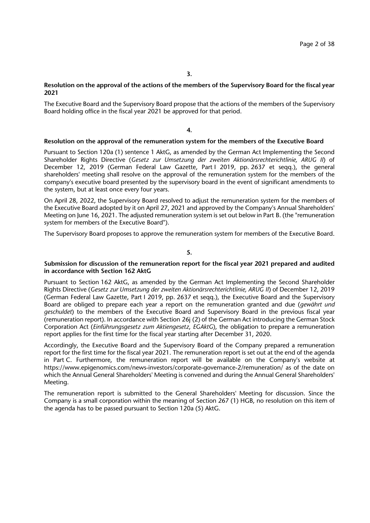# **Resolution on the approval of the actions of the members of the Supervisory Board for the fiscal year 2021**

The Executive Board and the Supervisory Board propose that the actions of the members of the Supervisory Board holding office in the fiscal year 2021 be approved for that period.

#### **4.**

#### **Resolution on the approval of the remuneration system for the members of the Executive Board**

Pursuant to Section 120a (1) sentence 1 AktG, as amended by the German Act Implementing the Second Shareholder Rights Directive (*Gesetz zur Umsetzung der zweiten Aktionärsrechterichtlinie, ARUG II*) of December 12, 2019 (German Federal Law Gazette, Part I 2019, pp. 2637 et seqq.), the general shareholders' meeting shall resolve on the approval of the remuneration system for the members of the company's executive board presented by the supervisory board in the event of significant amendments to the system, but at least once every four years.

On April 28, 2022, the Supervisory Board resolved to adjust the remuneration system for the members of the Executive Board adopted by it on April 27, 2021 and approved by the Company's Annual Shareholders' Meeting on June 16, 2021. The adjusted remuneration system is set out below in Part B. (the "remuneration system for members of the Executive Board").

The Supervisory Board proposes to approve the remuneration system for members of the Executive Board.

#### **5.**

### **Submission for discussion of the remuneration report for the fiscal year 2021 prepared and audited in accordance with Section 162 AktG**

Pursuant to Section 162 AktG, as amended by the German Act Implementing the Second Shareholder Rights Directive (*Gesetz zur Umsetzung der zweiten Aktionärsrechterichtlinie, ARUG II*) of December 12, 2019 (German Federal Law Gazette, Part I 2019, pp. 2637 et seqq.), the Executive Board and the Supervisory Board are obliged to prepare each year a report on the remuneration granted and due (*gewährt und geschuldet*) to the members of the Executive Board and Supervisory Board in the previous fiscal year (remuneration report). In accordance with Section 26j (2) of the German Act introducing the German Stock Corporation Act (*Einführungsgesetz zum Aktiengesetz*, *EGAktG*), the obligation to prepare a remuneration report applies for the first time for the fiscal year starting after December 31, 2020.

Accordingly, the Executive Board and the Supervisory Board of the Company prepared a remuneration report for the first time for the fiscal year 2021. The remuneration report is set out at the end of the agenda in Part C. Furthermore, the remuneration report will be available on the Company's website at https://www.epigenomics.com/news-investors/corporate-governance-2/remuneration/ as of the date on which the Annual General Shareholders' Meeting is convened and during the Annual General Shareholders' Meeting.

The remuneration report is submitted to the General Shareholders' Meeting for discussion. Since the Company is a small corporation within the meaning of Section 267 (1) HGB, no resolution on this item of the agenda has to be passed pursuant to Section 120a (5) AktG.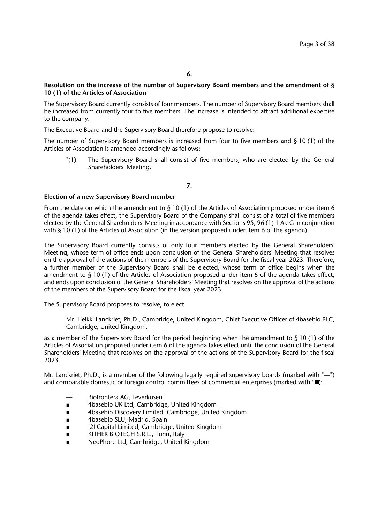### **Resolution on the increase of the number of Supervisory Board members and the amendment of § 10 (1) of the Articles of Association**

The Supervisory Board currently consists of four members. The number of Supervisory Board members shall be increased from currently four to five members. The increase is intended to attract additional expertise to the company.

The Executive Board and the Supervisory Board therefore propose to resolve:

The number of Supervisory Board members is increased from four to five members and  $\S 10$  (1) of the Articles of Association is amended accordingly as follows:

"(1) The Supervisory Board shall consist of five members, who are elected by the General Shareholders' Meeting."

# **7.**

### **Election of a new Supervisory Board member**

From the date on which the amendment to § 10 (1) of the Articles of Association proposed under item 6 of the agenda takes effect, the Supervisory Board of the Company shall consist of a total of five members elected by the General Shareholders' Meeting in accordance with Sections 95, 96 (1) 1 AktG in conjunction with § 10 (1) of the Articles of Association (in the version proposed under item 6 of the agenda).

The Supervisory Board currently consists of only four members elected by the General Shareholders' Meeting, whose term of office ends upon conclusion of the General Shareholders' Meeting that resolves on the approval of the actions of the members of the Supervisory Board for the fiscal year 2023. Therefore, a further member of the Supervisory Board shall be elected, whose term of office begins when the amendment to § 10 (1) of the Articles of Association proposed under item 6 of the agenda takes effect, and ends upon conclusion of the General Shareholders' Meeting that resolves on the approval of the actions of the members of the Supervisory Board for the fiscal year 2023.

The Supervisory Board proposes to resolve, to elect

Mr. Heikki Lanckriet, Ph.D., Cambridge, United Kingdom, Chief Executive Officer of 4basebio PLC, Cambridge, United Kingdom,

as a member of the Supervisory Board for the period beginning when the amendment to § 10 (1) of the Articles of Association proposed under item 6 of the agenda takes effect until the conclusion of the General Shareholders' Meeting that resolves on the approval of the actions of the Supervisory Board for the fiscal 2023.

Mr. Lanckriet, Ph.D., is a member of the following legally required supervisory boards (marked with "—") and comparable domestic or foreign control committees of commercial enterprises (marked with  $\blacksquare$ ):

- Biofrontera AG, Leverkusen
- 4basebio UK Ltd, Cambridge, United Kingdom
- 4basebio Discovery Limited, Cambridge, United Kingdom
- 4basebio SLU, Madrid, Spain
- I2I Capital Limited, Cambridge, United Kingdom
- KITHER BIOTECH S.R.L., Turin, Italy
- NeoPhore Ltd, Cambridge, United Kingdom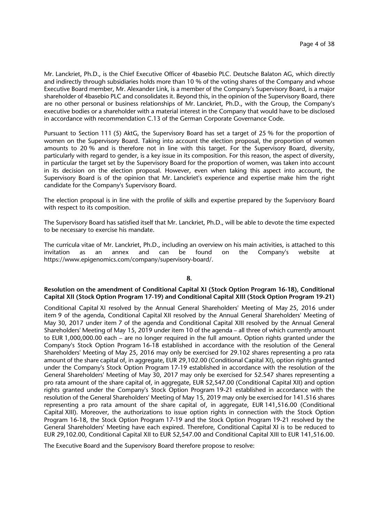Mr. Lanckriet, Ph.D., is the Chief Executive Officer of 4basebio PLC. Deutsche Balaton AG, which directly and indirectly through subsidiaries holds more than 10 % of the voting shares of the Company and whose Executive Board member, Mr. Alexander Link, is a member of the Company's Supervisory Board, is a major shareholder of 4basebio PLC and consolidates it. Beyond this, in the opinion of the Supervisory Board, there are no other personal or business relationships of Mr. Lanckriet, Ph.D., with the Group, the Company's executive bodies or a shareholder with a material interest in the Company that would have to be disclosed in accordance with recommendation C.13 of the German Corporate Governance Code.

Pursuant to Section 111 (5) AktG, the Supervisory Board has set a target of 25 % for the proportion of women on the Supervisory Board. Taking into account the election proposal, the proportion of women amounts to 20 % and is therefore not in line with this target. For the Supervisory Board, diversity, particularly with regard to gender, is a key issue in its composition. For this reason, the aspect of diversity, in particular the target set by the Supervisory Board for the proportion of women, was taken into account in its decision on the election proposal. However, even when taking this aspect into account, the Supervisory Board is of the opinion that Mr. Lanckriet's experience and expertise make him the right candidate for the Company's Supervisory Board.

The election proposal is in line with the profile of skills and expertise prepared by the Supervisory Board with respect to its composition.

The Supervisory Board has satisfied itself that Mr. Lanckriet, Ph.D., will be able to devote the time expected to be necessary to exercise his mandate.

The curricula vitae of Mr. Lanckriet, Ph.D., including an overview on his main activities, is attached to this invitation as an annex and can be found on the Company's website at https://www.epigenomics.com/company/supervisory-board/.

#### **8.**

### **Resolution on the amendment of Conditional Capital XI (Stock Option Program 16-18), Conditional Capital XII (Stock Option Program 17-19) and Conditional Capital XIII (Stock Option Program 19-21)**

Conditional Capital XI resolved by the Annual General Shareholders' Meeting of May 25, 2016 under item 9 of the agenda, Conditional Capital XII resolved by the Annual General Shareholders' Meeting of May 30, 2017 under item 7 of the agenda and Conditional Capital XIII resolved by the Annual General Shareholders' Meeting of May 15, 2019 under item 10 of the agenda – all three of which currently amount to EUR 1,000,000.00 each – are no longer required in the full amount. Option rights granted under the Company's Stock Option Program 16-18 established in accordance with the resolution of the General Shareholders' Meeting of May 25, 2016 may only be exercised for 29.102 shares representing a pro rata amount of the share capital of, in aggregate, EUR 29,102.00 (Conditional Capital XI), option rights granted under the Company's Stock Option Program 17-19 established in accordance with the resolution of the General Shareholders' Meeting of May 30, 2017 may only be exercised for 52.547 shares representing a pro rata amount of the share capital of, in aggregate, EUR 52,547.00 (Conditional Capital XII) and option rights granted under the Company's Stock Option Program 19-21 established in accordance with the resolution of the General Shareholders' Meeting of May 15, 2019 may only be exercised for 141.516 shares representing a pro rata amount of the share capital of, in aggregate, EUR 141,516.00 (Conditional Capital XIII). Moreover, the authorizations to issue option rights in connection with the Stock Option Program 16-18, the Stock Option Program 17-19 and the Stock Option Program 19-21 resolved by the General Shareholders' Meeting have each expired. Therefore, Conditional Capital XI is to be reduced to EUR 29,102.00, Conditional Capital XII to EUR 52,547.00 and Conditional Capital XIII to EUR 141,516.00.

The Executive Board and the Supervisory Board therefore propose to resolve: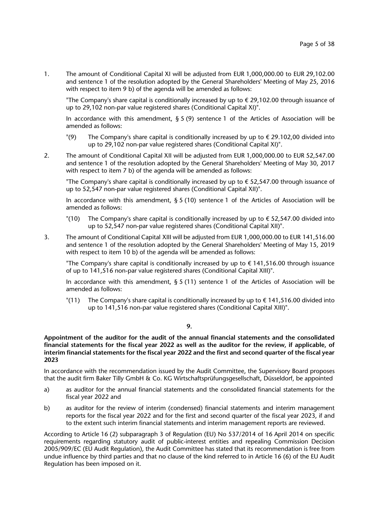1. The amount of Conditional Capital XI will be adjusted from EUR 1,000,000.00 to EUR 29,102.00 and sentence 1 of the resolution adopted by the General Shareholders' Meeting of May 25, 2016 with respect to item 9 b) of the agenda will be amended as follows:

"The Company's share capital is conditionally increased by up to  $\epsilon$  29,102.00 through issuance of up to 29,102 non-par value registered shares (Conditional Capital XI)".

In accordance with this amendment,  $\S 5 (9)$  sentence 1 of the Articles of Association will be amended as follows:

- "(9) The Company's share capital is conditionally increased by up to  $\epsilon$  29.102,00 divided into up to 29,102 non-par value registered shares (Conditional Capital XI)".
- 2. The amount of Conditional Capital XII will be adjusted from EUR 1,000,000.00 to EUR 52,547.00 and sentence 1 of the resolution adopted by the General Shareholders' Meeting of May 30, 2017 with respect to item 7 b) of the agenda will be amended as follows:

"The Company's share capital is conditionally increased by up to  $\epsilon$  52,547.00 through issuance of up to 52,547 non-par value registered shares (Conditional Capital XII)".

In accordance with this amendment,  $\S 5 (10)$  sentence 1 of the Articles of Association will be amended as follows:

- "(10) The Company's share capital is conditionally increased by up to  $\epsilon$  52,547.00 divided into up to 52,547 non-par value registered shares (Conditional Capital XII)".
- 3. The amount of Conditional Capital XIII will be adjusted from EUR 1,000,000.00 to EUR 141,516.00 and sentence 1 of the resolution adopted by the General Shareholders' Meeting of May 15, 2019 with respect to item 10 b) of the agenda will be amended as follows:

"The Company's share capital is conditionally increased by up to  $\epsilon$  141,516.00 through issuance of up to 141,516 non-par value registered shares (Conditional Capital XIII)".

In accordance with this amendment,  $\S 5 (11)$  sentence 1 of the Articles of Association will be amended as follows:

"(11) The Company's share capital is conditionally increased by up to  $\epsilon$  141,516.00 divided into up to 141,516 non-par value registered shares (Conditional Capital XIII)".

#### **9.**

**Appointment of the auditor for the audit of the annual financial statements and the consolidated financial statements for the fiscal year 2022 as well as the auditor for the review, if applicable, of interim financial statements for the fiscal year 2022 and the first and second quarter of the fiscal year 2023** 

In accordance with the recommendation issued by the Audit Committee, the Supervisory Board proposes that the audit firm Baker Tilly GmbH & Co. KG Wirtschaftsprüfungsgesellschaft, Düsseldorf, be appointed

- a) as auditor for the annual financial statements and the consolidated financial statements for the fiscal year 2022 and
- b) as auditor for the review of interim (condensed) financial statements and interim management reports for the fiscal year 2022 and for the first and second quarter of the fiscal year 2023, if and to the extent such interim financial statements and interim management reports are reviewed.

According to Article 16 (2) subparagraph 3 of Regulation (EU) No 537/2014 of 16 April 2014 on specific requirements regarding statutory audit of public-interest entities and repealing Commission Decision 2005/909/EC (EU Audit Regulation), the Audit Committee has stated that its recommendation is free from undue influence by third parties and that no clause of the kind referred to in Article 16 (6) of the EU Audit Regulation has been imposed on it.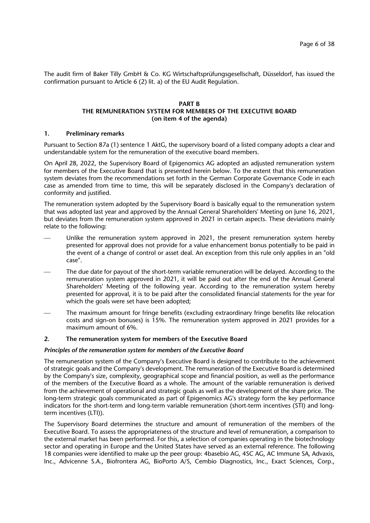The audit firm of Baker Tilly GmbH & Co. KG Wirtschaftsprüfungsgesellschaft, Düsseldorf, has issued the confirmation pursuant to Article 6 (2) lit. a) of the EU Audit Regulation.

### **PART B THE REMUNERATION SYSTEM FOR MEMBERS OF THE EXECUTIVE BOARD (on item 4 of the agenda)**

# **1. Preliminary remarks**

Pursuant to Section 87a (1) sentence 1 AktG, the supervisory board of a listed company adopts a clear and understandable system for the remuneration of the executive board members.

On April 28, 2022, the Supervisory Board of Epigenomics AG adopted an adjusted remuneration system for members of the Executive Board that is presented herein below. To the extent that this remuneration system deviates from the recommendations set forth in the German Corporate Governance Code in each case as amended from time to time, this will be separately disclosed in the Company's declaration of conformity and justified.

The remuneration system adopted by the Supervisory Board is basically equal to the remuneration system that was adopted last year and approved by the Annual General Shareholders' Meeting on June 16, 2021, but deviates from the remuneration system approved in 2021 in certain aspects. These deviations mainly relate to the following:

- Unlike the remuneration system approved in 2021, the present remuneration system hereby presented for approval does not provide for a value enhancement bonus potentially to be paid in the event of a change of control or asset deal. An exception from this rule only applies in an "old case".
- The due date for payout of the short-term variable remuneration will be delayed. According to the remuneration system approved in 2021, it will be paid out after the end of the Annual General Shareholders' Meeting of the following year. According to the remuneration system hereby presented for approval, it is to be paid after the consolidated financial statements for the year for which the goals were set have been adopted;
- The maximum amount for fringe benefits (excluding extraordinary fringe benefits like relocation costs and sign-on bonuses) is 15%. The remuneration system approved in 2021 provides for a maximum amount of 6%.

#### **2. The remuneration system for members of the Executive Board**

#### *Principles of the remuneration system for members of the Executive Board*

The remuneration system of the Company's Executive Board is designed to contribute to the achievement of strategic goals and the Company's development. The remuneration of the Executive Board is determined by the Company's size, complexity, geographical scope and financial position, as well as the performance of the members of the Executive Board as a whole. The amount of the variable remuneration is derived from the achievement of operational and strategic goals as well as the development of the share price. The long-term strategic goals communicated as part of Epigenomics AG's strategy form the key performance indicators for the short-term and long-term variable remuneration (short-term incentives (STI) and longterm incentives (LTI)).

The Supervisory Board determines the structure and amount of remuneration of the members of the Executive Board. To assess the appropriateness of the structure and level of remuneration, a comparison to the external market has been performed. For this, a selection of companies operating in the biotechnology sector and operating in Europe and the United States have served as an external reference. The following 18 companies were identified to make up the peer group: 4basebio AG, 4SC AG, AC Immune SA, Advaxis, Inc., Advicenne S.A., Biofrontera AG, BioPorto A/S, Cembio Diagnostics, Inc., Exact Sciences, Corp.,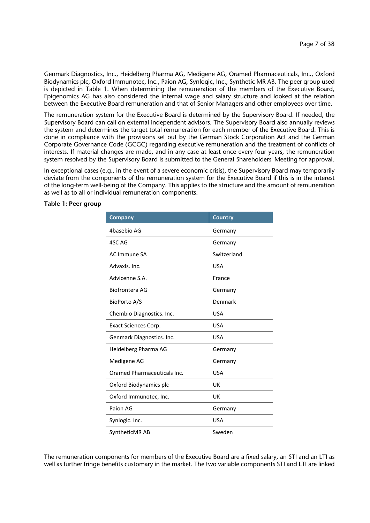Genmark Diagnostics, Inc., Heidelberg Pharma AG, Medigene AG, Oramed Pharmaceuticals, Inc., Oxford Biodynamics plc, Oxford Immunotec, Inc., Paion AG, Synlogic, Inc., Synthetic MR AB. The peer group used is depicted in Table 1. When determining the remuneration of the members of the Executive Board, Epigenomics AG has also considered the internal wage and salary structure and looked at the relation between the Executive Board remuneration and that of Senior Managers and other employees over time.

The remuneration system for the Executive Board is determined by the Supervisory Board. If needed, the Supervisory Board can call on external independent advisors. The Supervisory Board also annually reviews the system and determines the target total remuneration for each member of the Executive Board. This is done in compliance with the provisions set out by the German Stock Corporation Act and the German Corporate Governance Code (GCGC) regarding executive remuneration and the treatment of conflicts of interests. If material changes are made, and in any case at least once every four years, the remuneration system resolved by the Supervisory Board is submitted to the General Shareholders' Meeting for approval.

In exceptional cases (e.g., in the event of a severe economic crisis), the Supervisory Board may temporarily deviate from the components of the remuneration system for the Executive Board if this is in the interest of the long-term well-being of the Company. This applies to the structure and the amount of remuneration as well as to all or individual remuneration components.

| <b>Company</b>              | <b>Country</b> |
|-----------------------------|----------------|
| 4basebio AG                 | Germany        |
| 4SC AG                      | Germany        |
| AC Immune SA                | Switzerland    |
| Advaxis, Inc.               | <b>USA</b>     |
| Advicenne S.A.              | France         |
| Biofrontera AG              | Germany        |
| BioPorto A/S                | Denmark        |
| Chembio Diagnostics. Inc.   | <b>USA</b>     |
| Exact Sciences Corp.        | <b>USA</b>     |
| Genmark Diagnostics. Inc.   | <b>USA</b>     |
| Heidelberg Pharma AG        | Germany        |
| Medigene AG                 | Germany        |
| Oramed Pharmaceuticals Inc. | <b>USA</b>     |
| Oxford Biodynamics plc      | UK             |
| Oxford Immunotec, Inc.      | UK             |
| Paion AG                    | Germany        |
| Synlogic. Inc.              | <b>USA</b>     |
| SyntheticMR AB              | Sweden         |

### **Table 1: Peer group**

The remuneration components for members of the Executive Board are a fixed salary, an STI and an LTI as well as further fringe benefits customary in the market. The two variable components STI and LTI are linked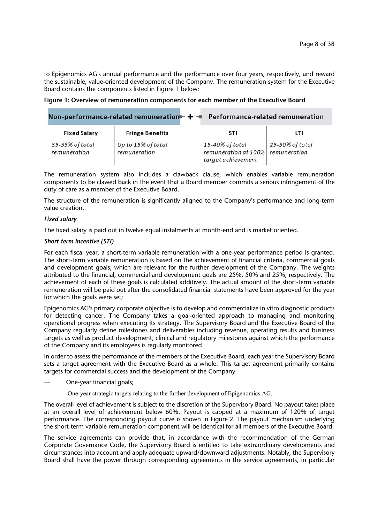to Epigenomics AG's annual performance and the performance over four years, respectively, and reward the sustainable, value-oriented development of the Company. The remuneration system for the Executive Board contains the components listed in Figure 1 below:

| Figure 1: Overview of remuneration components for each member of the Executive Board |  |  |
|--------------------------------------------------------------------------------------|--|--|
|--------------------------------------------------------------------------------------|--|--|

|                                 |                                    | Non-performance-related remuneration $+ -$ Performance-related remuneration |                                 |
|---------------------------------|------------------------------------|-----------------------------------------------------------------------------|---------------------------------|
| <b>Fixed Salary</b>             | <b>Fringe Benefits</b>             | STI                                                                         | LTI                             |
| 35-55% of total<br>remuneration | Up to 15% of total<br>remuneration | 15-40% of total<br>remuneration at 100%<br>target achievement               | 25-50% of total<br>remuneration |

The remuneration system also includes a clawback clause, which enables variable remuneration components to be clawed back in the event that a Board member commits a serious infringement of the duty of care as a member of the Executive Board.

The structure of the remuneration is significantly aligned to the Company's performance and long-term value creation.

### *Fixed salary*

The fixed salary is paid out in twelve equal instalments at month-end and is market oriented.

### *Short-term incentive (STI)*

For each fiscal year, a short-term variable remuneration with a one-year performance period is granted. The short-term variable remuneration is based on the achievement of financial criteria, commercial goals and development goals, which are relevant for the further development of the Company. The weights attributed to the financial, commercial and development goals are 25%, 50% and 25%, respectively. The achievement of each of these goals is calculated additively. The actual amount of the short-term variable remuneration will be paid out after the consolidated financial statements have been approved for the year for which the goals were set;

Epigenomics AG's primary corporate objective is to develop and commercialize in vitro diagnostic products for detecting cancer. The Company takes a goal-oriented approach to managing and monitoring operational progress when executing its strategy. The Supervisory Board and the Executive Board of the Company regularly define milestones and deliverables including revenue, operating results and business targets as well as product development, clinical and regulatory milestones against which the performance of the Company and its employees is regularly monitored.

In order to assess the performance of the members of the Executive Board, each year the Supervisory Board sets a target agreement with the Executive Board as a whole. This target agreement primarily contains targets for commercial success and the development of the Company:

- ⸺ One-year financial goals;
- ⸺ One-year strategic targets relating to the further development of Epigenomics AG.

The overall level of achievement is subject to the discretion of the Supervisory Board. No payout takes place at an overall level of achievement below 60%. Payout is capped at a maximum of 120% of target performance. The corresponding payout curve is shown in Figure 2. The payout mechanism underlying the short-term variable remuneration component will be identical for all members of the Executive Board.

The service agreements can provide that, in accordance with the recommendation of the German Corporate Governance Code, the Supervisory Board is entitled to take extraordinary developments and circumstances into account and apply adequate upward/downward adjustments. Notably, the Supervisory Board shall have the power through corresponding agreements in the service agreements, in particular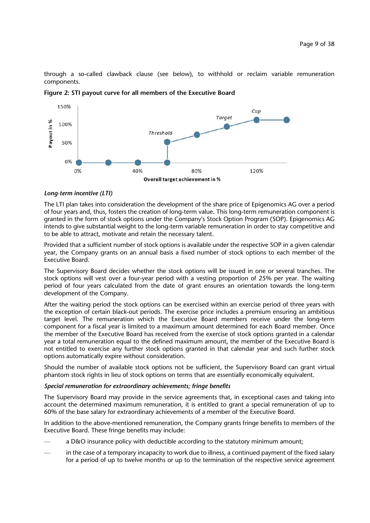through a so-called clawback clause (see below), to withhold or reclaim variable remuneration components.



**Figure 2: STI payout curve for all members of the Executive Board**

# *Long-term incentive (LTI)*

The LTI plan takes into consideration the development of the share price of Epigenomics AG over a period of four years and, thus, fosters the creation of long-term value. This long-term remuneration component is granted in the form of stock options under the Company's Stock Option Program (SOP). Epigenomics AG intends to give substantial weight to the long-term variable remuneration in order to stay competitive and to be able to attract, motivate and retain the necessary talent.

Provided that a sufficient number of stock options is available under the respective SOP in a given calendar year, the Company grants on an annual basis a fixed number of stock options to each member of the Executive Board.

The Supervisory Board decides whether the stock options will be issued in one or several tranches. The stock options will vest over a four-year period with a vesting proportion of 25% per year. The waiting period of four years calculated from the date of grant ensures an orientation towards the long-term development of the Company.

After the waiting period the stock options can be exercised within an exercise period of three years with the exception of certain black-out periods. The exercise price includes a premium ensuring an ambitious target level. The remuneration which the Executive Board members receive under the long-term component for a fiscal year is limited to a maximum amount determined for each Board member. Once the member of the Executive Board has received from the exercise of stock options granted in a calendar year a total remuneration equal to the defined maximum amount, the member of the Executive Board is not entitled to exercise any further stock options granted in that calendar year and such further stock options automatically expire without consideration.

Should the number of available stock options not be sufficient, the Supervisory Board can grant virtual phantom stock rights in lieu of stock options on terms that are essentially economically equivalent.

### *Special remuneration for extraordinary achievements; fringe benefits*

The Supervisory Board may provide in the service agreements that, in exceptional cases and taking into account the determined maximum remuneration, it is entitled to grant a special remuneration of up to 60% of the base salary for extraordinary achievements of a member of the Executive Board.

In addition to the above-mentioned remuneration, the Company grants fringe benefits to members of the Executive Board. These fringe benefits may include:

- ⸺ a D&O insurance policy with deductible according to the statutory minimum amount;
- ⸺ in the case of a temporary incapacity to work due to illness, a continued payment of the fixed salary for a period of up to twelve months or up to the termination of the respective service agreement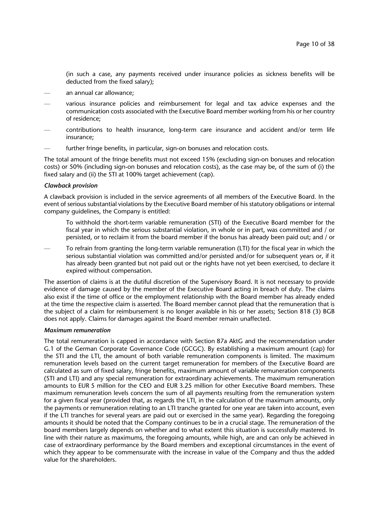(in such a case, any payments received under insurance policies as sickness benefits will be deducted from the fixed salary);

- ⸺ an annual car allowance;
- ⸺ various insurance policies and reimbursement for legal and tax advice expenses and the communication costs associated with the Executive Board member working from his or her country of residence;
- ⸺ contributions to health insurance, long-term care insurance and accident and/or term life insurance;
- further fringe benefits, in particular, sign-on bonuses and relocation costs.

The total amount of the fringe benefits must not exceed 15% (excluding sign-on bonuses and relocation costs) or 50% (including sign-on bonuses and relocation costs), as the case may be, of the sum of (i) the fixed salary and (ii) the STI at 100% target achievement (cap).

#### *Clawback provision*

A clawback provision is included in the service agreements of all members of the Executive Board. In the event of serious substantial violations by the Executive Board member of his statutory obligations or internal company guidelines, the Company is entitled:

- To withhold the short-term variable remuneration (STI) of the Executive Board member for the fiscal year in which the serious substantial violation, in whole or in part, was committed and / or persisted, or to reclaim it from the board member if the bonus has already been paid out; and / or
- ⸺ To refrain from granting the long-term variable remuneration (LTI) for the fiscal year in which the serious substantial violation was committed and/or persisted and/or for subsequent years or, if it has already been granted but not paid out or the rights have not yet been exercised, to declare it expired without compensation.

The assertion of claims is at the dutiful discretion of the Supervisory Board. It is not necessary to provide evidence of damage caused by the member of the Executive Board acting in breach of duty. The claims also exist if the time of office or the employment relationship with the Board member has already ended at the time the respective claim is asserted. The Board member cannot plead that the remuneration that is the subject of a claim for reimbursement is no longer available in his or her assets; Section 818 (3) BGB does not apply. Claims for damages against the Board member remain unaffected.

#### *Maximum remuneration*

The total remuneration is capped in accordance with Section 87a AktG and the recommendation under G.1 of the German Corporate Governance Code (GCGC). By establishing a maximum amount (cap) for the STI and the LTI, the amount of both variable remuneration components is limited. The maximum remuneration levels based on the current target remuneration for members of the Executive Board are calculated as sum of fixed salary, fringe benefits, maximum amount of variable remuneration components (STI and LTI) and any special remuneration for extraordinary achievements. The maximum remuneration amounts to EUR 5 million for the CEO and EUR 3.25 million for other Executive Board members. These maximum remuneration levels concern the sum of all payments resulting from the remuneration system for a given fiscal year (provided that, as regards the LTI, in the calculation of the maximum amounts, only the payments or remuneration relating to an LTI tranche granted for one year are taken into account, even if the LTI tranches for several years are paid out or exercised in the same year). Regarding the foregoing amounts it should be noted that the Company continues to be in a crucial stage. The remuneration of the board members largely depends on whether and to what extent this situation is successfully mastered. In line with their nature as maximums, the foregoing amounts, while high, are and can only be achieved in case of extraordinary performance by the Board members and exceptional circumstances in the event of which they appear to be commensurate with the increase in value of the Company and thus the added value for the shareholders.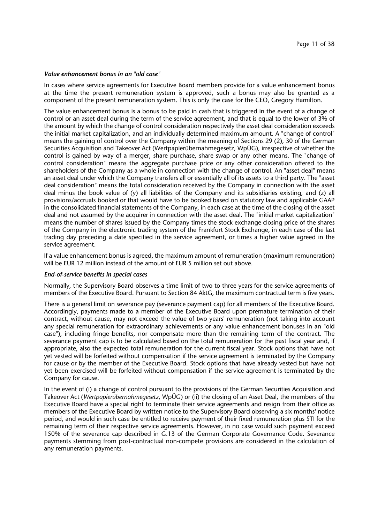#### *Value enhancement bonus in an "old case"*

In cases where service agreements for Executive Board members provide for a value enhancement bonus at the time the present remuneration system is approved, such a bonus may also be granted as a component of the present remuneration system. This is only the case for the CEO, Gregory Hamilton.

The value enhancement bonus is a bonus to be paid in cash that is triggered in the event of a change of control or an asset deal during the term of the service agreement, and that is equal to the lower of 3% of the amount by which the change of control consideration respectively the asset deal consideration exceeds the initial market capitalization, and an individually determined maximum amount. A "change of control" means the gaining of control over the Company within the meaning of Sections 29 (2), 30 of the German Securities Acquisition and Takeover Act (Wertpapierübernahmegesetz, WpÜG), irrespective of whether the control is gained by way of a merger, share purchase, share swap or any other means. The "change of control consideration" means the aggregate purchase price or any other consideration offered to the shareholders of the Company as a whole in connection with the change of control. An "asset deal" means an asset deal under which the Company transfers all or essentially all of its assets to a third party. The "asset deal consideration" means the total consideration received by the Company in connection with the asset deal minus the book value of (y) all liabilities of the Company and its subsidiaries existing, and (z) all provisions/accruals booked or that would have to be booked based on statutory law and applicable GAAP in the consolidated financial statements of the Company, in each case at the time of the closing of the asset deal and not assumed by the acquirer in connection with the asset deal. The "initial market capitalization" means the number of shares issued by the Company times the stock exchange closing price of the shares of the Company in the electronic trading system of the Frankfurt Stock Exchange, in each case of the last trading day preceding a date specified in the service agreement, or times a higher value agreed in the service agreement.

If a value enhancement bonus is agreed, the maximum amount of remuneration (maximum remuneration) will be EUR 12 million instead of the amount of EUR 5 million set out above.

#### *End-of-service benefits in special cases*

Normally, the Supervisory Board observes a time limit of two to three years for the service agreements of members of the Executive Board. Pursuant to Section 84 AktG, the maximum contractual term is five years.

There is a general limit on severance pay (severance payment cap) for all members of the Executive Board. Accordingly, payments made to a member of the Executive Board upon premature termination of their contract, without cause, may not exceed the value of two years' remuneration (not taking into account any special remuneration for extraordinary achievements or any value enhancement bonuses in an "old case"), including fringe benefits, nor compensate more than the remaining term of the contract. The severance payment cap is to be calculated based on the total remuneration for the past fiscal year and, if appropriate, also the expected total remuneration for the current fiscal year. Stock options that have not yet vested will be forfeited without compensation if the service agreement is terminated by the Company for cause or by the member of the Executive Board. Stock options that have already vested but have not yet been exercised will be forfeited without compensation if the service agreement is terminated by the Company for cause.

In the event of (i) a change of control pursuant to the provisions of the German Securities Acquisition and Takeover Act (*Wertpapierübernahmegesetz*, WpÜG) or (ii) the closing of an Asset Deal, the members of the Executive Board have a special right to terminate their service agreements and resign from their office as members of the Executive Board by written notice to the Supervisory Board observing a six months' notice period, and would in such case be entitled to receive payment of their fixed remuneration plus STI for the remaining term of their respective service agreements. However, in no case would such payment exceed 150% of the severance cap described in G.13 of the German Corporate Governance Code. Severance payments stemming from post-contractual non-compete provisions are considered in the calculation of any remuneration payments.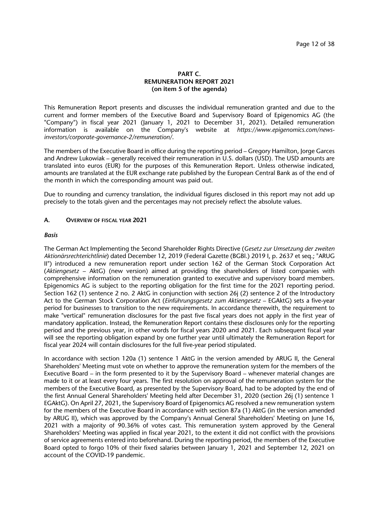# **PART C. REMUNERATION REPORT 2021 (on item 5 of the agenda)**

This Remuneration Report presents and discusses the individual remuneration granted and due to the current and former members of the Executive Board and Supervisory Board of Epigenomics AG (the "Company") in fiscal year 2021 (January 1, 2021 to December 31, 2021). Detailed remuneration information is available on the Company's website at *https://www.epigenomics.com/newsinvestors/corporate-governance-2/remuneration/*.

The members of the Executive Board in office during the reporting period – Gregory Hamilton, Jorge Garces and Andrew Lukowiak – generally received their remuneration in U.S. dollars (USD). The USD amounts are translated into euros (EUR) for the purposes of this Remuneration Report. Unless otherwise indicated, amounts are translated at the EUR exchange rate published by the European Central Bank as of the end of the month in which the corresponding amount was paid out.

Due to rounding and currency translation, the individual figures disclosed in this report may not add up precisely to the totals given and the percentages may not precisely reflect the absolute values.

### **A. OVERVIEW OF FISCAL YEAR 2021**

#### *Basis*

The German Act Implementing the Second Shareholder Rights Directive (*Gesetz zur Umsetzung der zweiten Aktionärsrechterichtlinie*) dated December 12, 2019 (Federal Gazette (BGBl.) 2019 I, p. 2637 et seq.; "ARUG II") introduced a new remuneration report under section 162 of the German Stock Corporation Act (*Aktiengesetz* – AktG) (new version) aimed at providing the shareholders of listed companies with comprehensive information on the remuneration granted to executive and supervisory board members. Epigenomics AG is subject to the reporting obligation for the first time for the 2021 reporting period. Section 162 (1) sentence 2 no. 2 AktG in conjunction with section 26j (2) sentence 2 of the Introductory Act to the German Stock Corporation Act (*Einführungsgesetz zum Aktiengesetz* – EGAktG) sets a five-year period for businesses to transition to the new requirements. In accordance therewith, the requirement to make "vertical" remuneration disclosures for the past five fiscal years does not apply in the first year of mandatory application. Instead, the Remuneration Report contains these disclosures only for the reporting period and the previous year, in other words for fiscal years 2020 and 2021. Each subsequent fiscal year will see the reporting obligation expand by one further year until ultimately the Remuneration Report for fiscal year 2024 will contain disclosures for the full five-year period stipulated.

In accordance with section 120a (1) sentence 1 AktG in the version amended by ARUG II, the General Shareholders' Meeting must vote on whether to approve the remuneration system for the members of the Executive Board – in the form presented to it by the Supervisory Board – whenever material changes are made to it or at least every four years. The first resolution on approval of the remuneration system for the members of the Executive Board, as presented by the Supervisory Board, had to be adopted by the end of the first Annual General Shareholders' Meeting held after December 31, 2020 (section 26j (1) sentence 1 EGAktG). On April 27, 2021, the Supervisory Board of Epigenomics AG resolved a new remuneration system for the members of the Executive Board in accordance with section 87a (1) AktG (in the version amended by ARUG II), which was approved by the Company's Annual General Shareholders' Meeting on June 16, 2021 with a majority of 90.36% of votes cast. This remuneration system approved by the General Shareholders' Meeting was applied in fiscal year 2021, to the extent it did not conflict with the provisions of service agreements entered into beforehand. During the reporting period, the members of the Executive Board opted to forgo 10% of their fixed salaries between January 1, 2021 and September 12, 2021 on account of the COVID-19 pandemic.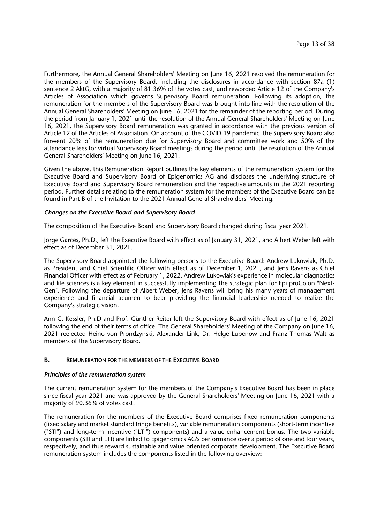Furthermore, the Annual General Shareholders' Meeting on June 16, 2021 resolved the remuneration for the members of the Supervisory Board, including the disclosures in accordance with section 87a (1) sentence 2 AktG, with a majority of 81.36% of the votes cast, and reworded Article 12 of the Company's Articles of Association which governs Supervisory Board remuneration. Following its adoption, the remuneration for the members of the Supervisory Board was brought into line with the resolution of the Annual General Shareholders' Meeting on June 16, 2021 for the remainder of the reporting period. During the period from January 1, 2021 until the resolution of the Annual General Shareholders' Meeting on June 16, 2021, the Supervisory Board remuneration was granted in accordance with the previous version of Article 12 of the Articles of Association. On account of the COVID-19 pandemic, the Supervisory Board also forwent 20% of the remuneration due for Supervisory Board and committee work and 50% of the attendance fees for virtual Supervisory Board meetings during the period until the resolution of the Annual General Shareholders' Meeting on June 16, 2021.

Given the above, this Remuneration Report outlines the key elements of the remuneration system for the Executive Board and Supervisory Board of Epigenomics AG and discloses the underlying structure of Executive Board and Supervisory Board remuneration and the respective amounts in the 2021 reporting period. Further details relating to the remuneration system for the members of the Executive Board can be found in Part B of the Invitation to the 2021 Annual General Shareholders' Meeting.

### *Changes on the Executive Board and Supervisory Board*

The composition of the Executive Board and Supervisory Board changed during fiscal year 2021.

Jorge Garces, Ph.D., left the Executive Board with effect as of January 31, 2021, and Albert Weber left with effect as of December 31, 2021.

The Supervisory Board appointed the following persons to the Executive Board: Andrew Lukowiak, Ph.D. as President and Chief Scientific Officer with effect as of December 1, 2021, and Jens Ravens as Chief Financial Officer with effect as of February 1, 2022. Andrew Lukowiak's experience in molecular diagnostics and life sciences is a key element in successfully implementing the strategic plan for Epi proColon "Next-Gen". Following the departure of Albert Weber, Jens Ravens will bring his many years of management experience and financial acumen to bear providing the financial leadership needed to realize the Company's strategic vision.

Ann C. Kessler, Ph.D and Prof. Günther Reiter left the Supervisory Board with effect as of June 16, 2021 following the end of their terms of office. The General Shareholders' Meeting of the Company on June 16, 2021 reelected Heino von Prondzynski, Alexander Link, Dr. Helge Lubenow and Franz Thomas Walt as members of the Supervisory Board.

# **B. REMUNERATION FOR THE MEMBERS OF THE EXECUTIVE BOARD**

#### *Principles of the remuneration system*

The current remuneration system for the members of the Company's Executive Board has been in place since fiscal year 2021 and was approved by the General Shareholders' Meeting on June 16, 2021 with a majority of 90.36% of votes cast.

The remuneration for the members of the Executive Board comprises fixed remuneration components (fixed salary and market standard fringe benefits), variable remuneration components (short-term incentive ("STI") and long-term incentive ("LTI") components) and a value enhancement bonus. The two variable components (STI and LTI) are linked to Epigenomics AG's performance over a period of one and four years, respectively, and thus reward sustainable and value-oriented corporate development. The Executive Board remuneration system includes the components listed in the following overview: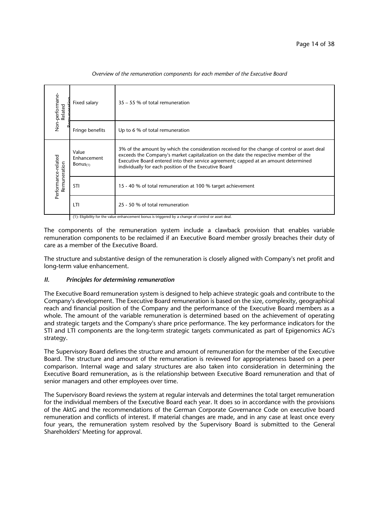| Non-performane-<br>Related | Fixed salary                        | 35 – 55 % of total remuneration                                                                                                                                                                                                                                                                                                       |
|----------------------------|-------------------------------------|---------------------------------------------------------------------------------------------------------------------------------------------------------------------------------------------------------------------------------------------------------------------------------------------------------------------------------------|
|                            | Fringe benefits                     | Up to 6 % of total remuneration                                                                                                                                                                                                                                                                                                       |
| Performance-related        | Value<br>Enhancement<br>Bonus $(1)$ | 3% of the amount by which the consideration received for the change of control or asset deal<br>exceeds the Company's market capitalization on the date the respective member of the<br>Executive Board entered into their service agreement; capped at an amount determined<br>individually for each position of the Executive Board |
| Remuneration               | STI                                 | 15 - 40 % of total remuneration at 100 % target achievement                                                                                                                                                                                                                                                                           |
|                            | LTI                                 | 25 - 50 % of total remuneration                                                                                                                                                                                                                                                                                                       |

*Overview of the remuneration components for each member of the Executive Board*

(1): Eligibility for the value enhancement bonus is triggered by a change of control or asset deal.

The components of the remuneration system include a clawback provision that enables variable remuneration components to be reclaimed if an Executive Board member grossly breaches their duty of care as a member of the Executive Board.

The structure and substantive design of the remuneration is closely aligned with Company's net profit and long-term value enhancement.

# *II. Principles for determining remuneration*

The Executive Board remuneration system is designed to help achieve strategic goals and contribute to the Company's development. The Executive Board remuneration is based on the size, complexity, geographical reach and financial position of the Company and the performance of the Executive Board members as a whole. The amount of the variable remuneration is determined based on the achievement of operating and strategic targets and the Company's share price performance. The key performance indicators for the STI and LTI components are the long-term strategic targets communicated as part of Epigenomics AG's strategy.

The Supervisory Board defines the structure and amount of remuneration for the member of the Executive Board. The structure and amount of the remuneration is reviewed for appropriateness based on a peer comparison. Internal wage and salary structures are also taken into consideration in determining the Executive Board remuneration, as is the relationship between Executive Board remuneration and that of senior managers and other employees over time.

The Supervisory Board reviews the system at regular intervals and determines the total target remuneration for the individual members of the Executive Board each year. It does so in accordance with the provisions of the AktG and the recommendations of the German Corporate Governance Code on executive board remuneration and conflicts of interest. If material changes are made, and in any case at least once every four years, the remuneration system resolved by the Supervisory Board is submitted to the General Shareholders' Meeting for approval.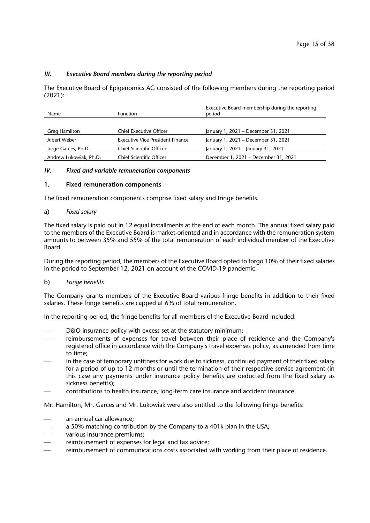# *III. Executive Board members during the reporting period*

The Executive Board of Epigenomics AG consisted of the following members during the reporting period (2021):

| <b>Function</b><br><b>Name</b> |                                         | Executive Board membership during the reporting<br>period |
|--------------------------------|-----------------------------------------|-----------------------------------------------------------|
|                                |                                         |                                                           |
| Greg Hamilton                  | <b>Chief Executive Officer</b>          | January 1, 2021 - December 31, 2021                       |
| Albert Weber                   | <b>Executive Vice President Finance</b> | January 1, 2021 - December 31, 2021                       |
| Jorge Garces, Ph.D.            | Chief Scientific Officer                | January 1, 2021 - January 31, 2021                        |
| Andrew Lukowiak, Ph.D.         | Chief Scientific Officer                | December 1, 2021 - December 31, 2021                      |

### *IV. Fixed and variable remuneration components*

### **1. Fixed remuneration components**

The fixed remuneration components comprise fixed salary and fringe benefits.

### a) *Fixed salary*

The fixed salary is paid out in 12 equal installments at the end of each month. The annual fixed salary paid to the members of the Executive Board is market-oriented and in accordance with the remuneration system amounts to between 35% and 55% of the total remuneration of each individual member of the Executive Board.

During the reporting period, the members of the Executive Board opted to forgo 10% of their fixed salaries in the period to September 12, 2021 on account of the COVID-19 pandemic.

#### b) *Fringe benefits*

The Company grants members of the Executive Board various fringe benefits in addition to their fixed salaries. These fringe benefits are capped at 6% of total remuneration.

In the reporting period, the fringe benefits for all members of the Executive Board included:

- D&O insurance policy with excess set at the statutory minimum;
- reimbursements of expenses for travel between their place of residence and the Company's registered office in accordance with the Company's travel expenses policy, as amended from time to time;
- in the case of temporary unfitness for work due to sickness, continued payment of their fixed salary for a period of up to 12 months or until the termination of their respective service agreement (in this case any payments under insurance policy benefits are deducted from the fixed salary as sickness benefits);
- contributions to health insurance, long-term care insurance and accident insurance.

Mr. Hamilton, Mr. Garces and Mr. Lukowiak were also entitled to the following fringe benefits:

- an annual car allowance;
- a 50% matching contribution by the Company to a 401k plan in the USA;
- various insurance premiums;
- reimbursement of expenses for legal and tax advice;
- reimbursement of communications costs associated with working from their place of residence.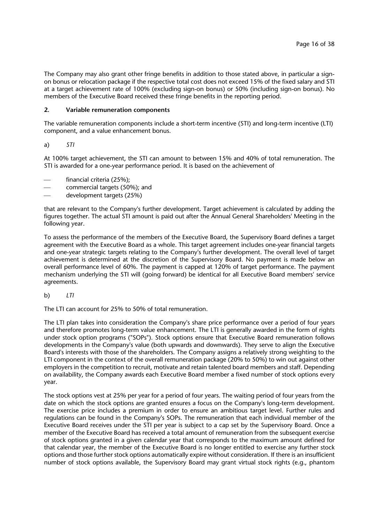The Company may also grant other fringe benefits in addition to those stated above, in particular a signon bonus or relocation package if the respective total cost does not exceed 15% of the fixed salary and STI at a target achievement rate of 100% (excluding sign-on bonus) or 50% (including sign-on bonus). No members of the Executive Board received these fringe benefits in the reporting period.

# **2. Variable remuneration components**

The variable remuneration components include a short-term incentive (STI) and long-term incentive (LTI) component, and a value enhancement bonus.

a) *STI* 

At 100% target achievement, the STI can amount to between 15% and 40% of total remuneration. The STI is awarded for a one-year performance period. It is based on the achievement of

- financial criteria (25%);
- commercial targets (50%); and
- development targets (25%)

that are relevant to the Company's further development. Target achievement is calculated by adding the figures together. The actual STI amount is paid out after the Annual General Shareholders' Meeting in the following year.

To assess the performance of the members of the Executive Board, the Supervisory Board defines a target agreement with the Executive Board as a whole. This target agreement includes one-year financial targets and one-year strategic targets relating to the Company's further development. The overall level of target achievement is determined at the discretion of the Supervisory Board. No payment is made below an overall performance level of 60%. The payment is capped at 120% of target performance. The payment mechanism underlying the STI will (going forward) be identical for all Executive Board members' service agreements.

b) *LTI* 

The LTI can account for 25% to 50% of total remuneration.

The LTI plan takes into consideration the Company's share price performance over a period of four years and therefore promotes long-term value enhancement. The LTI is generally awarded in the form of rights under stock option programs ("SOPs"). Stock options ensure that Executive Board remuneration follows developments in the Company's value (both upwards and downwards). They serve to align the Executive Board's interests with those of the shareholders. The Company assigns a relatively strong weighting to the LTI component in the context of the overall remuneration package (20% to 50%) to win out against other employers in the competition to recruit, motivate and retain talented board members and staff. Depending on availability, the Company awards each Executive Board member a fixed number of stock options every year.

The stock options vest at 25% per year for a period of four years. The waiting period of four years from the date on which the stock options are granted ensures a focus on the Company's long-term development. The exercise price includes a premium in order to ensure an ambitious target level. Further rules and regulations can be found in the Company's SOPs. The remuneration that each individual member of the Executive Board receives under the STI per year is subject to a cap set by the Supervisory Board. Once a member of the Executive Board has received a total amount of remuneration from the subsequent exercise of stock options granted in a given calendar year that corresponds to the maximum amount defined for that calendar year, the member of the Executive Board is no longer entitled to exercise any further stock options and those further stock options automatically expire without consideration. If there is an insufficient number of stock options available, the Supervisory Board may grant virtual stock rights (e.g., phantom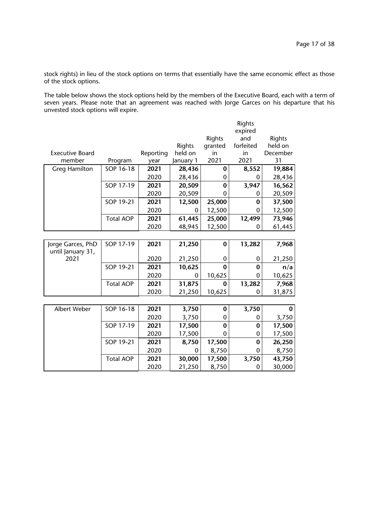stock rights) in lieu of the stock options on terms that essentially have the same economic effect as those of the stock options.

The table below shows the stock options held by the members of the Executive Board, each with a term of seven years. Please note that an agreement was reached with Jorge Garces on his departure that his unvested stock options will expire.

|                                        |                  |           |           |                  | Rights    |          |
|----------------------------------------|------------------|-----------|-----------|------------------|-----------|----------|
|                                        |                  |           |           |                  | expired   |          |
|                                        |                  |           |           | Rights           | and       | Rights   |
|                                        |                  |           | Rights    | granted          | forfeited | held on  |
| <b>Executive Board</b>                 |                  | Reporting | held on   | in               | in        | December |
| member                                 | Program          | year      | January 1 | 2021             | 2021      | 31       |
| <b>Greg Hamilton</b>                   | SOP 16-18        | 2021      | 28,436    | 0                | 8,552     | 19,884   |
|                                        |                  | 2020      | 28,436    | 0                | 0         | 28,436   |
|                                        | SOP 17-19        | 2021      | 20,509    | 0                | 3,947     | 16,562   |
|                                        |                  | 2020      | 20,509    | 0                | 0         | 20,509   |
|                                        | SOP 19-21        | 2021      | 12,500    | 25,000           | $\bf{0}$  | 37,500   |
|                                        |                  | 2020      | 0         | 12,500           | 0         | 12,500   |
|                                        | <b>Total AOP</b> | 2021      | 61,445    | 25,000           | 12,499    | 73,946   |
|                                        |                  | 2020      | 48,945    | 12,500           | 0         | 61,445   |
|                                        |                  |           |           |                  |           |          |
| Jorge Garces, PhD<br>until January 31, | SOP 17-19        | 2021      | 21,250    | 0                | 13,282    | 7,968    |
| 2021                                   |                  | 2020      | 21,250    | $\boldsymbol{0}$ | 0         | 21,250   |
|                                        | SOP 19-21        | 2021      | 10,625    | $\bf{0}$         | $\bf{0}$  | n/a      |
|                                        |                  | 2020      | 0         | 10,625           | 0         | 10,625   |
|                                        | <b>Total AOP</b> | 2021      | 31,875    | $\bf{0}$         | 13,282    | 7,968    |
|                                        |                  | 2020      | 21,250    | 10,625           | 0         | 31,875   |
|                                        |                  |           |           |                  |           |          |
| Albert Weber                           | SOP 16-18        | 2021      | 3,750     | 0                | 3,750     | $\bf{0}$ |
|                                        |                  | 2020      | 3,750     | $\mathbf 0$      | 0         | 3,750    |
|                                        | SOP 17-19        | 2021      | 17,500    | 0                | $\bf{0}$  | 17,500   |
|                                        |                  | 2020      | 17,500    | 0                | 0         | 17,500   |
|                                        | SOP 19-21        | 2021      | 8,750     | 17,500           | $\bf{0}$  | 26,250   |
|                                        |                  | 2020      | 0         | 8,750            | 0         | 8,750    |
|                                        | <b>Total AOP</b> | 2021      | 30,000    | 17,500           | 3,750     | 43,750   |
|                                        |                  | 2020      | 21,250    | 8,750            | 0         | 30,000   |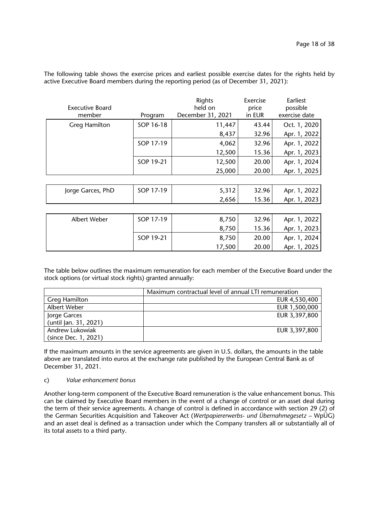The following table shows the exercise prices and earliest possible exercise dates for the rights held by active Executive Board members during the reporting period (as of December 31, 2021):

| <b>Executive Board</b><br>member | Program   | Rights<br>held on<br>December 31, 2021 | Exercise<br>price<br>in EUR | Earliest<br>possible<br>exercise date |
|----------------------------------|-----------|----------------------------------------|-----------------------------|---------------------------------------|
| <b>Greg Hamilton</b>             | SOP 16-18 | 11,447                                 | 43.44                       | Oct. 1, 2020                          |
|                                  |           | 8,437                                  | 32.96                       | Apr. 1, 2022                          |
|                                  | SOP 17-19 | 4,062                                  | 32.96                       | Apr. 1, 2022                          |
|                                  |           | 12,500                                 | 15.36                       | Apr. 1, 2023                          |
|                                  | SOP 19-21 | 12,500                                 | 20.00                       | Apr. 1, 2024                          |
|                                  |           | 25,000                                 | 20.00                       | Apr. 1, 2025                          |
|                                  |           |                                        |                             |                                       |
| Jorge Garces, PhD                | SOP 17-19 | 5,312                                  | 32.96                       | Apr. 1, 2022                          |
|                                  |           | 2,656                                  | 15.36                       | Apr. 1, 2023                          |
|                                  |           |                                        |                             |                                       |
| Albert Weber                     | SOP 17-19 | 8,750                                  | 32.96                       | Apr. 1, 2022                          |
|                                  |           | 8,750                                  | 15.36                       | Apr. 1, 2023                          |
|                                  | SOP 19-21 | 8,750                                  | 20.00                       | Apr. 1, 2024                          |
|                                  |           | 17,500                                 | 20.00                       | Apr. 1, 2025                          |

The table below outlines the maximum remuneration for each member of the Executive Board under the stock options (or virtual stock rights) granted annually:

|                       | Maximum contractual level of annual LTI remuneration |  |  |
|-----------------------|------------------------------------------------------|--|--|
| Greg Hamilton         | EUR 4,530,400                                        |  |  |
| Albert Weber          | EUR 1,500,000                                        |  |  |
| Jorge Garces          | EUR 3,397,800                                        |  |  |
| (until Jan. 31, 2021) |                                                      |  |  |
| Andrew Lukowiak       | EUR 3,397,800                                        |  |  |
| (since Dec. 1, 2021)  |                                                      |  |  |

If the maximum amounts in the service agreements are given in U.S. dollars, the amounts in the table above are translated into euros at the exchange rate published by the European Central Bank as of December 31, 2021.

#### c) *Value enhancement bonus*

Another long-term component of the Executive Board remuneration is the value enhancement bonus. This can be claimed by Executive Board members in the event of a change of control or an asset deal during the term of their service agreements. A change of control is defined in accordance with section 29 (2) of the German Securities Acquisition and Takeover Act (*Wertpapiererwerbs- und Übernahmegesetz* – WpÜG) and an asset deal is defined as a transaction under which the Company transfers all or substantially all of its total assets to a third party.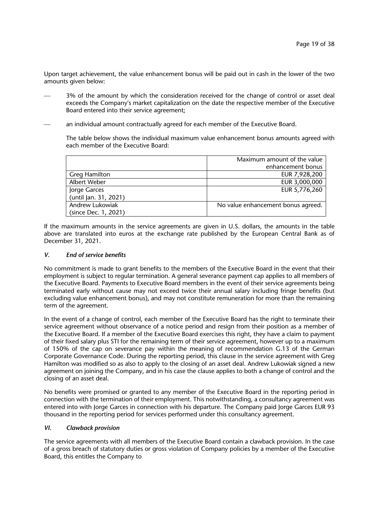Upon target achievement, the value enhancement bonus will be paid out in cash in the lower of the two amounts given below:

- 3% of the amount by which the consideration received for the change of control or asset deal exceeds the Company's market capitalization on the date the respective member of the Executive Board entered into their service agreement;
- an individual amount contractually agreed for each member of the Executive Board.

The table below shows the individual maximum value enhancement bonus amounts agreed with each member of the Executive Board:

|                       | Maximum amount of the value        |  |  |
|-----------------------|------------------------------------|--|--|
|                       | enhancement bonus                  |  |  |
| <b>Greg Hamilton</b>  | EUR 7,928,200                      |  |  |
| Albert Weber          | EUR 3,000,000                      |  |  |
| Jorge Garces          | EUR 5,776,260                      |  |  |
| (until Jan. 31, 2021) |                                    |  |  |
| Andrew Lukowiak       | No value enhancement bonus agreed. |  |  |
| (since Dec. 1, 2021)  |                                    |  |  |

If the maximum amounts in the service agreements are given in U.S. dollars, the amounts in the table above are translated into euros at the exchange rate published by the European Central Bank as of December 31, 2021.

### *V. End of service benefits*

No commitment is made to grant benefits to the members of the Executive Board in the event that their employment is subject to regular termination. A general severance payment cap applies to all members of the Executive Board. Payments to Executive Board members in the event of their service agreements being terminated early without cause may not exceed twice their annual salary including fringe benefits (but excluding value enhancement bonus), and may not constitute remuneration for more than the remaining term of the agreement.

In the event of a change of control, each member of the Executive Board has the right to terminate their service agreement without observance of a notice period and resign from their position as a member of the Executive Board. If a member of the Executive Board exercises this right, they have a claim to payment of their fixed salary plus STI for the remaining term of their service agreement, however up to a maximum of 150% of the cap on severance pay within the meaning of recommendation G.13 of the German Corporate Governance Code. During the reporting period, this clause in the service agreement with Greg Hamilton was modified so as also to apply to the closing of an asset deal. Andrew Lukowiak signed a new agreement on joining the Company, and in his case the clause applies to both a change of control and the closing of an asset deal.

No benefits were promised or granted to any member of the Executive Board in the reporting period in connection with the termination of their employment. This notwithstanding, a consultancy agreement was entered into with Jorge Garces in connection with his departure. The Company paid Jorge Garces EUR 93 thousand in the reporting period for services performed under this consultancy agreement.

#### *VI. Clawback provision*

The service agreements with all members of the Executive Board contain a clawback provision. In the case of a gross breach of statutory duties or gross violation of Company policies by a member of the Executive Board, this entitles the Company to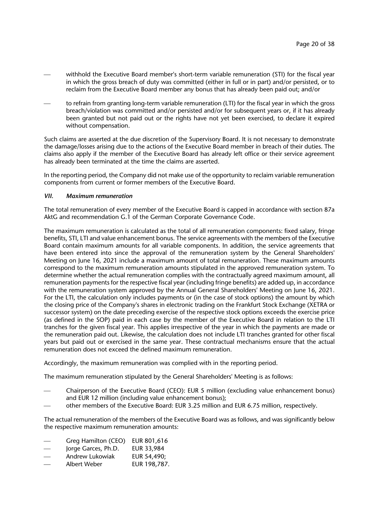- withhold the Executive Board member's short-term variable remuneration (STI) for the fiscal year in which the gross breach of duty was committed (either in full or in part) and/or persisted, or to reclaim from the Executive Board member any bonus that has already been paid out; and/or
- to refrain from granting long-term variable remuneration (LTI) for the fiscal year in which the gross breach/violation was committed and/or persisted and/or for subsequent years or, if it has already been granted but not paid out or the rights have not yet been exercised, to declare it expired without compensation.

Such claims are asserted at the due discretion of the Supervisory Board. It is not necessary to demonstrate the damage/losses arising due to the actions of the Executive Board member in breach of their duties. The claims also apply if the member of the Executive Board has already left office or their service agreement has already been terminated at the time the claims are asserted.

In the reporting period, the Company did not make use of the opportunity to reclaim variable remuneration components from current or former members of the Executive Board.

### *VII. Maximum remuneration*

The total remuneration of every member of the Executive Board is capped in accordance with section 87a AktG and recommendation G.1 of the German Corporate Governance Code.

The maximum remuneration is calculated as the total of all remuneration components: fixed salary, fringe benefits, STI, LTI and value enhancement bonus. The service agreements with the members of the Executive Board contain maximum amounts for all variable components. In addition, the service agreements that have been entered into since the approval of the remuneration system by the General Shareholders' Meeting on June 16, 2021 include a maximum amount of total remuneration. These maximum amounts correspond to the maximum remuneration amounts stipulated in the approved remuneration system. To determine whether the actual remuneration complies with the contractually agreed maximum amount, all remuneration payments for the respective fiscal year (including fringe benefits) are added up, in accordance with the remuneration system approved by the Annual General Shareholders' Meeting on June 16, 2021. For the LTI, the calculation only includes payments or (in the case of stock options) the amount by which the closing price of the Company's shares in electronic trading on the Frankfurt Stock Exchange (XETRA or successor system) on the date preceding exercise of the respective stock options exceeds the exercise price (as defined in the SOP) paid in each case by the member of the Executive Board in relation to the LTI tranches for the given fiscal year. This applies irrespective of the year in which the payments are made or the remuneration paid out. Likewise, the calculation does not include LTI tranches granted for other fiscal years but paid out or exercised in the same year. These contractual mechanisms ensure that the actual remuneration does not exceed the defined maximum remuneration.

Accordingly, the maximum remuneration was complied with in the reporting period.

The maximum remuneration stipulated by the General Shareholders' Meeting is as follows:

- Chairperson of the Executive Board (CEO): EUR 5 million (excluding value enhancement bonus) and EUR 12 million (including value enhancement bonus);
- other members of the Executive Board: EUR 3.25 million and EUR 6.75 million, respectively.

The actual remuneration of the members of the Executive Board was as follows, and was significantly below the respective maximum remuneration amounts:

- Greg Hamilton (CEO) EUR 801,616
- Jorge Garces, Ph.D. EUR 33,984
- Andrew Lukowiak EUR 54,490;
- Albert Weber EUR 198,787.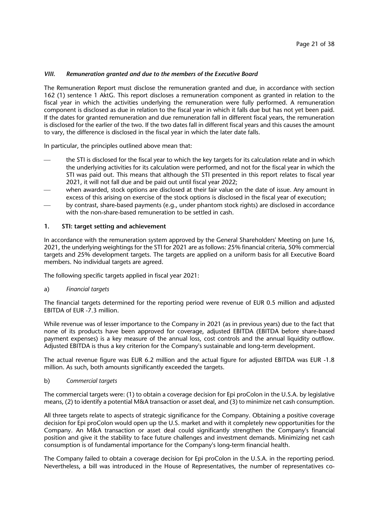# *VIII. Remuneration granted and due to the members of the Executive Board*

The Remuneration Report must disclose the remuneration granted and due, in accordance with section 162 (1) sentence 1 AktG. This report discloses a remuneration component as granted in relation to the fiscal year in which the activities underlying the remuneration were fully performed. A remuneration component is disclosed as due in relation to the fiscal year in which it falls due but has not yet been paid. If the dates for granted remuneration and due remuneration fall in different fiscal years, the remuneration is disclosed for the earlier of the two. If the two dates fall in different fiscal years and this causes the amount to vary, the difference is disclosed in the fiscal year in which the later date falls.

In particular, the principles outlined above mean that:

- the STI is disclosed for the fiscal year to which the key targets for its calculation relate and in which the underlying activities for its calculation were performed, and not for the fiscal year in which the STI was paid out. This means that although the STI presented in this report relates to fiscal year 2021, it will not fall due and be paid out until fiscal year 2022;
- when awarded, stock options are disclosed at their fair value on the date of issue. Any amount in excess of this arising on exercise of the stock options is disclosed in the fiscal year of execution;
- by contrast, share-based payments (e.g., under phantom stock rights) are disclosed in accordance with the non-share-based remuneration to be settled in cash.

# **1. STI: target setting and achievement**

In accordance with the remuneration system approved by the General Shareholders' Meeting on June 16, 2021, the underlying weightings for the STI for 2021 are as follows: 25% financial criteria, 50% commercial targets and 25% development targets. The targets are applied on a uniform basis for all Executive Board members. No individual targets are agreed.

The following specific targets applied in fiscal year 2021:

#### a) *Financial targets*

The financial targets determined for the reporting period were revenue of EUR 0.5 million and adjusted EBITDA of EUR -7.3 million.

While revenue was of lesser importance to the Company in 2021 (as in previous years) due to the fact that none of its products have been approved for coverage, adjusted EBITDA (EBITDA before share-based payment expenses) is a key measure of the annual loss, cost controls and the annual liquidity outflow. Adjusted EBITDA is thus a key criterion for the Company's sustainable and long-term development.

The actual revenue figure was EUR 6.2 million and the actual figure for adjusted EBITDA was EUR -1.8 million. As such, both amounts significantly exceeded the targets.

#### b) *Commercial targets*

The commercial targets were: (1) to obtain a coverage decision for Epi proColon in the U.S.A. by legislative means, (2) to identify a potential M&A transaction or asset deal, and (3) to minimize net cash consumption.

All three targets relate to aspects of strategic significance for the Company. Obtaining a positive coverage decision for Epi proColon would open up the U.S. market and with it completely new opportunities for the Company. An M&A transaction or asset deal could significantly strengthen the Company's financial position and give it the stability to face future challenges and investment demands. Minimizing net cash consumption is of fundamental importance for the Company's long-term financial health.

The Company failed to obtain a coverage decision for Epi proColon in the U.S.A. in the reporting period. Nevertheless, a bill was introduced in the House of Representatives, the number of representatives co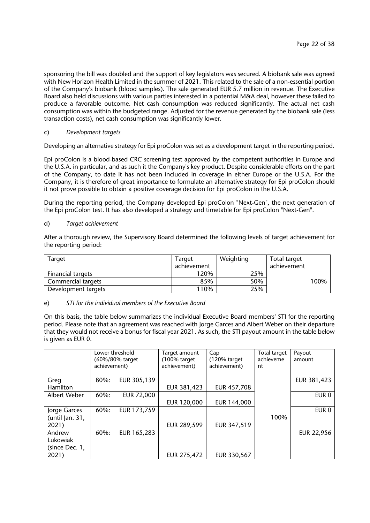sponsoring the bill was doubled and the support of key legislators was secured. A biobank sale was agreed with New Horizon Health Limited in the summer of 2021. This related to the sale of a non-essential portion of the Company's biobank (blood samples). The sale generated EUR 5.7 million in revenue. The Executive Board also held discussions with various parties interested in a potential M&A deal, however these failed to produce a favorable outcome. Net cash consumption was reduced significantly. The actual net cash consumption was within the budgeted range. Adjusted for the revenue generated by the biobank sale (less transaction costs), net cash consumption was significantly lower.

# c) *Development targets*

Developing an alternative strategy for Epi proColon was set as a development target in the reporting period.

Epi proColon is a blood-based CRC screening test approved by the competent authorities in Europe and the U.S.A. in particular, and as such it the Company's key product. Despite considerable efforts on the part of the Company, to date it has not been included in coverage in either Europe or the U.S.A. For the Company, it is therefore of great importance to formulate an alternative strategy for Epi proColon should it not prove possible to obtain a positive coverage decision for Epi proColon in the U.S.A.

During the reporting period, the Company developed Epi proColon "Next-Gen", the next generation of the Epi proColon test. It has also developed a strategy and timetable for Epi proColon "Next-Gen".

### d) *Target achievement*

After a thorough review, the Supervisory Board determined the following levels of target achievement for the reporting period:

| Target              | Target      | Weighting | Total target |
|---------------------|-------------|-----------|--------------|
|                     | achievement |           | achievement  |
| Financial targets   | 120%        | 25%       |              |
| Commercial targets  | 85%         | 50%       | 100%         |
| Development targets | 110%        | 25%       |              |

#### e) *STI for the individual members of the Executive Board*

On this basis, the table below summarizes the individual Executive Board members' STI for the reporting period. Please note that an agreement was reached with Jorge Garces and Albert Weber on their departure that they would not receive a bonus for fiscal year 2021. As such, the STI payout amount in the table below is given as EUR 0.

|                                      | achievement) | Lower threshold<br>(60%/80% target) | Target amount<br>$(100\%$ target<br>achievement) | Cap<br>$(120\%$ target<br>achievement) | Total target<br>achieveme<br>nt | Payout<br>amount  |
|--------------------------------------|--------------|-------------------------------------|--------------------------------------------------|----------------------------------------|---------------------------------|-------------------|
| Greg<br>Hamilton                     | $80\%$ :     | EUR 305,139                         | EUR 381,423                                      | EUR 457,708                            |                                 | EUR 381,423       |
| Albert Weber                         | 60%:         | <b>EUR 72,000</b>                   | EUR 120,000                                      | EUR 144,000                            |                                 | EUR 0             |
| Jorge Garces<br>(until Jan. $31$ ,   | 60%:         | EUR 173,759                         |                                                  |                                        | 100%                            | EUR 0             |
| 2021)                                |              |                                     | EUR 289,599                                      | EUR 347,519                            |                                 |                   |
| Andrew<br>Lukowiak<br>(since Dec. 1, | 60%:         | EUR 165,283                         |                                                  |                                        |                                 | <b>EUR 22,956</b> |
| 2021)                                |              |                                     | EUR 275,472                                      | EUR 330,567                            |                                 |                   |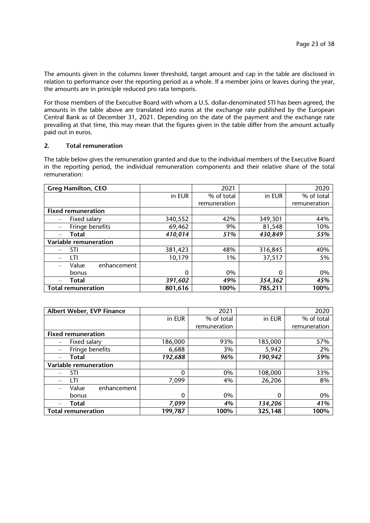The amounts given in the columns lower threshold, target amount and cap in the table are disclosed in relation to performance over the reporting period as a whole. If a member joins or leaves during the year, the amounts are in principle reduced pro rata temporis.

For those members of the Executive Board with whom a U.S. dollar-denominated STI has been agreed, the amounts in the table above are translated into euros at the exchange rate published by the European Central Bank as of December 31, 2021. Depending on the date of the payment and the exchange rate prevailing at that time, this may mean that the figures given in the table differ from the amount actually paid out in euros.

# **2. Total remuneration**

The table below gives the remuneration granted and due to the individual members of the Executive Board in the reporting period, the individual remuneration components and their relative share of the total remuneration:

| <b>Greg Hamilton, CEO</b> |         | 2021         |         | 2020         |
|---------------------------|---------|--------------|---------|--------------|
|                           | in EUR  | % of total   | in EUR  | % of total   |
|                           |         | remuneration |         | remuneration |
| <b>Fixed remuneration</b> |         |              |         |              |
| Fixed salary              | 340,552 | 42%          | 349,301 | 44%          |
| Fringe benefits           | 69,462  | 9%           | 81,548  | 10%          |
| Total                     | 410,014 | 51%          | 430,849 | 55%          |
| Variable remuneration     |         |              |         |              |
| STI                       | 381,423 | 48%          | 316,845 | 40%          |
| LTI                       | 10,179  | 1%           | 37,517  | 5%           |
| Value<br>enhancement      |         |              |         |              |
| bonus                     | 0       | 0%           | 0       | 0%           |
| Total                     | 391,602 | 49%          | 354,362 | 45%          |
| <b>Total remuneration</b> | 801,616 | 100%         | 785,211 | 100%         |

| Albert Weber, EVP Finance |              | 2021         |         | 2020         |
|---------------------------|--------------|--------------|---------|--------------|
|                           | in EUR       | % of total   | in EUR  | % of total   |
|                           |              | remuneration |         | remuneration |
| <b>Fixed remuneration</b> |              |              |         |              |
| Fixed salary              | 186,000      | 93%          | 185,000 | 57%          |
| Fringe benefits           | 6,688        | 3%           | 5,942   | 2%           |
| Total                     | 192,688      | 96%          | 190,942 | 59%          |
| Variable remuneration     |              |              |         |              |
| STI                       | $\mathbf{0}$ | 0%           | 108,000 | 33%          |
| LTI                       | 7,099        | 4%           | 26,206  | 8%           |
| Value<br>enhancement      |              |              |         |              |
| bonus                     | 0            | 0%           | 0       | 0%           |
| Total                     | 7,099        | 4%           | 134,206 | 41%          |
| <b>Total remuneration</b> | 199,787      | 100%         | 325,148 | 100%         |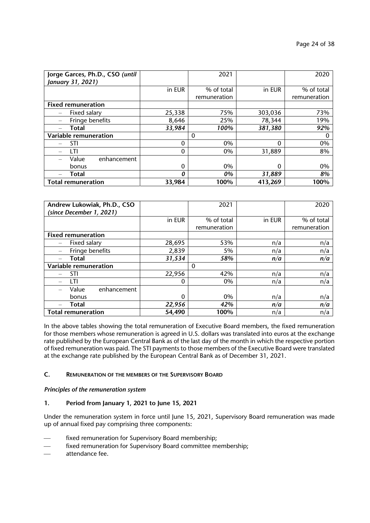| Jorge Garces, Ph.D., CSO (until<br>January 31, 2021) |          | 2021         |          | 2020         |
|------------------------------------------------------|----------|--------------|----------|--------------|
|                                                      | in EUR   | % of total   | in EUR   | % of total   |
|                                                      |          | remuneration |          | remuneration |
| <b>Fixed remuneration</b>                            |          |              |          |              |
| Fixed salary                                         | 25,338   | 75%          | 303,036  | 73%          |
| Fringe benefits                                      | 8,646    | 25%          | 78,344   | 19%          |
| Total                                                | 33,984   | 100%         | 381,380  | 92%          |
| Variable remuneration                                |          | $\Omega$     |          |              |
| STI                                                  | $\Omega$ | 0%           | $\Omega$ | 0%           |
| l TI                                                 | $\Omega$ | 0%           | 31,889   | 8%           |
| Value<br>enhancement                                 |          |              |          |              |
| bonus                                                | $\Omega$ | 0%           | $\Omega$ | 0%           |
| Total                                                | 0        | 0%           | 31,889   | 8%           |
| <b>Total remuneration</b>                            | 33,984   | 100%         | 413,269  | 100%         |

| Andrew Lukowiak, Ph.D., CSO<br>(since December 1, 2021) |          | 2021         |        | 2020         |
|---------------------------------------------------------|----------|--------------|--------|--------------|
|                                                         |          |              |        |              |
|                                                         | in EUR   | % of total   | in EUR | % of total   |
|                                                         |          | remuneration |        | remuneration |
| <b>Fixed remuneration</b>                               |          |              |        |              |
| Fixed salary                                            | 28,695   | 53%          | n/a    | n/a          |
| Fringe benefits                                         | 2,839    | 5%           | n/a    | n/a          |
| Total                                                   | 31,534   | 58%          | n/a    | n/a          |
| Variable remuneration                                   |          | $\Omega$     |        |              |
| STI                                                     | 22,956   | 42%          | n/a    | n/a          |
| LTI                                                     | $\Omega$ | 0%           | n/a    | n/a          |
| Value<br>enhancement                                    |          |              |        |              |
| bonus                                                   | $\Omega$ | 0%           | n/a    | n/a          |
| Total                                                   | 22,956   | 42%          | n/a    | n/a          |
| <b>Total remuneration</b>                               | 54,490   | 100%         | n/a    | n/a          |

In the above tables showing the total remuneration of Executive Board members, the fixed remuneration for those members whose remuneration is agreed in U.S. dollars was translated into euros at the exchange rate published by the European Central Bank as of the last day of the month in which the respective portion of fixed remuneration was paid. The STI payments to those members of the Executive Board were translated at the exchange rate published by the European Central Bank as of December 31, 2021.

### **C. REMUNERATION OF THE MEMBERS OF THE SUPERVISORY BOARD**

### *Principles of the remuneration system*

# **1. Period from January 1, 2021 to June 15, 2021**

Under the remuneration system in force until June 15, 2021, Supervisory Board remuneration was made up of annual fixed pay comprising three components:

- fixed remuneration for Supervisory Board membership;
- fixed remuneration for Supervisory Board committee membership;
- attendance fee.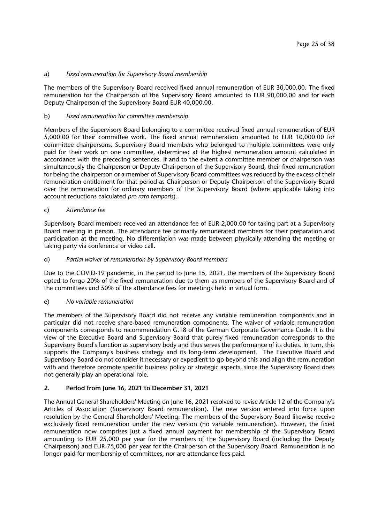# a) *Fixed remuneration for Supervisory Board membership*

The members of the Supervisory Board received fixed annual remuneration of EUR 30,000.00. The fixed remuneration for the Chairperson of the Supervisory Board amounted to EUR 90,000.00 and for each Deputy Chairperson of the Supervisory Board EUR 40,000.00.

# b) *Fixed remuneration for committee membership*

Members of the Supervisory Board belonging to a committee received fixed annual remuneration of EUR 5,000.00 for their committee work. The fixed annual remuneration amounted to EUR 10,000.00 for committee chairpersons. Supervisory Board members who belonged to multiple committees were only paid for their work on one committee, determined at the highest remuneration amount calculated in accordance with the preceding sentences. If and to the extent a committee member or chairperson was simultaneously the Chairperson or Deputy Chairperson of the Supervisory Board, their fixed remuneration for being the chairperson or a member of Supervisory Board committees was reduced by the excess of their remuneration entitlement for that period as Chairperson or Deputy Chairperson of the Supervisory Board over the remuneration for ordinary members of the Supervisory Board (where applicable taking into account reductions calculated *pro rata temporis*).

### c) *Attendance fee*

Supervisory Board members received an attendance fee of EUR 2,000.00 for taking part at a Supervisory Board meeting in person. The attendance fee primarily remunerated members for their preparation and participation at the meeting. No differentiation was made between physically attending the meeting or taking party via conference or video call.

### d) *Partial waiver of remuneration by Supervisory Board members*

Due to the COVID-19 pandemic, in the period to June 15, 2021, the members of the Supervisory Board opted to forgo 20% of the fixed remuneration due to them as members of the Supervisory Board and of the committees and 50% of the attendance fees for meetings held in virtual form.

#### e) *No variable remuneration*

The members of the Supervisory Board did not receive any variable remuneration components and in particular did not receive share-based remuneration components. The waiver of variable remuneration components corresponds to recommendation G.18 of the German Corporate Governance Code. It is the view of the Executive Board and Supervisory Board that purely fixed remuneration corresponds to the Supervisory Board's function as supervisory body and thus serves the performance of its duties. In turn, this supports the Company's business strategy and its long-term development. The Executive Board and Supervisory Board do not consider it necessary or expedient to go beyond this and align the remuneration with and therefore promote specific business policy or strategic aspects, since the Supervisory Board does not generally play an operational role.

# **2. Period from June 16, 2021 to December 31, 2021**

The Annual General Shareholders' Meeting on June 16, 2021 resolved to revise Article 12 of the Company's Articles of Association (Supervisory Board remuneration). The new version entered into force upon resolution by the General Shareholders' Meeting. The members of the Supervisory Board likewise receive exclusively fixed remuneration under the new version (no variable remuneration). However, the fixed remuneration now comprises just a fixed annual payment for membership of the Supervisory Board amounting to EUR 25,000 per year for the members of the Supervisory Board (including the Deputy Chairperson) and EUR 75,000 per year for the Chairperson of the Supervisory Board. Remuneration is no longer paid for membership of committees, nor are attendance fees paid.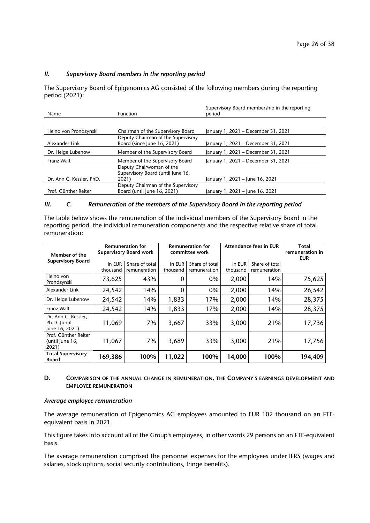# *II. Supervisory Board members in the reporting period*

The Supervisory Board of Epigenomics AG consisted of the following members during the reporting period (2021):

|                          |                                    | Supervisory Board membership in the reporting |
|--------------------------|------------------------------------|-----------------------------------------------|
| Name                     | <b>Function</b>                    | period                                        |
|                          |                                    |                                               |
| Heino von Prondzynski    | Chairman of the Supervisory Board  | January 1, 2021 - December 31, 2021           |
|                          | Deputy Chairman of the Supervisory |                                               |
| Alexander Link           | Board (since June 16, 2021)        | January 1, 2021 - December 31, 2021           |
| Dr. Helge Lubenow        | Member of the Supervisory Board    | January 1, 2021 - December 31, 2021           |
| Franz Walt               | Member of the Supervisory Board    | January 1, 2021 - December 31, 2021           |
|                          | Deputy Chairwoman of the           |                                               |
|                          | Supervisory Board (until June 16,  |                                               |
| Dr. Ann C. Kessler, PhD. | 2021)                              | January 1, 2021 – June 16, 2021               |
|                          | Deputy Chairman of the Supervisory |                                               |
| Prof. Günther Reiter     | Board (until June 16, 2021)        | January 1, 2021 – June 16, 2021               |

# *III. C. Remuneration of the members of the Supervisory Board in the reporting period*

The table below shows the remuneration of the individual members of the Supervisory Board in the reporting period, the individual remuneration components and the respective relative share of total remuneration:

| Member of the                                         | <b>Remuneration for</b><br><b>Supervisory Board work</b> |                                | <b>Remuneration for</b><br>committee work |                                | <b>Attendance fees in EUR</b> |                                | Total<br>remuneration in<br><b>EUR</b> |
|-------------------------------------------------------|----------------------------------------------------------|--------------------------------|-------------------------------------------|--------------------------------|-------------------------------|--------------------------------|----------------------------------------|
| <b>Supervisory Board</b>                              | in EUR<br>thousand                                       | Share of total<br>remuneration | in EUR<br>thousand                        | Share of total<br>remuneration | in EUR<br>thousand            | Share of total<br>remuneration |                                        |
| Heino von<br>Prondzynski                              | 73,625                                                   | 43%                            | U                                         | 0%                             | 2,000                         | 14%                            | 75,625                                 |
| Alexander Link                                        | 24,542                                                   | 14%                            | 0                                         | 0%                             | 2,000                         | 14%                            | 26,542                                 |
| Dr. Helge Lubenow                                     | 24,542                                                   | 14%                            | 1,833                                     | 17%                            | 2,000                         | 14%                            | 28,375                                 |
| Franz Walt                                            | 24,542                                                   | 14%                            | 1,833                                     | 17%                            | 2,000                         | 14%                            | 28,375                                 |
| Dr. Ann C. Kessler,<br>Ph.D. (until<br>June 16, 2021) | 11,069                                                   | 7%                             | 3,667                                     | 33%                            | 3,000                         | 21%                            | 17,736                                 |
| Prof. Günther Reiter<br>(until June 16,<br>2021)      | 11,067                                                   | 7%                             | 3,689                                     | 33%                            | 3,000                         | 21%                            | 17,756                                 |
| <b>Total Supervisory</b><br><b>Board</b>              | 169,386                                                  | 100%                           | 11,022                                    | 100%                           | 14,000                        | 100%                           | 194,409                                |

# **D. COMPARISON OF THE ANNUAL CHANGE IN REMUNERATION, THE COMPANY'S EARNINGS DEVELOPMENT AND EMPLOYEE REMUNERATION**

#### *Average employee remuneration*

The average remuneration of Epigenomics AG employees amounted to EUR 102 thousand on an FTEequivalent basis in 2021.

This figure takes into account all of the Group's employees, in other words 29 persons on an FTE-equivalent basis.

The average remuneration comprised the personnel expenses for the employees under IFRS (wages and salaries, stock options, social security contributions, fringe benefits).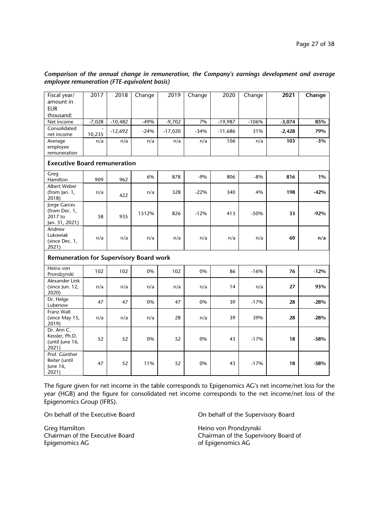| Fiscal year/                                               | 2017     | 2018      | Change | 2019      | Change | 2020      | Change  | 2021     | Change |
|------------------------------------------------------------|----------|-----------|--------|-----------|--------|-----------|---------|----------|--------|
| amount in                                                  |          |           |        |           |        |           |         |          |        |
| <b>EUR</b>                                                 |          |           |        |           |        |           |         |          |        |
| thousand:                                                  |          |           |        |           |        |           |         |          |        |
| Net income                                                 | $-7,028$ | $-10,482$ | $-49%$ | $-9,702$  | 7%     | $-19,987$ | $-106%$ | $-3,074$ | 85%    |
| Consolidated<br>net income                                 | 10,235   | $-12,692$ | $-24%$ | $-17,020$ | $-34%$ | $-11,686$ | 31%     | $-2,428$ | 79%    |
| Average<br>employee<br>remuneration                        | n/a      | n/a       | n/a    | n/a       | n/a    | 106       | n/a     | 103      | $-3%$  |
| <b>Executive Board remuneration</b>                        |          |           |        |           |        |           |         |          |        |
| Greg<br>Hamilton                                           | 909      | 962       | 6%     | 878       | $-9%$  | 806       | $-8%$   | 816      | 1%     |
| Albert Weber<br>(from Jan. $1$ ,<br>2018)                  | n/a      | 422       | n/a    | 328       | $-22%$ | 340       | 4%      | 198      | $-42%$ |
| Jorge Garces<br>(from Dec. 1,<br>2017 to<br>Jan. 31, 2021) | 58       | 935       | 1512%  | 826       | $-12%$ | 413       | $-50%$  | 33       | $-92%$ |
| Andrew<br>Lukowiak<br>(since Dec. 1,<br>2021)              | n/a      | n/a       | n/a    | n/a       | n/a    | n/a       | n/a     | 60       | n/a    |
| <b>Remuneration for Supervisory Board work</b>             |          |           |        |           |        |           |         |          |        |
| Heino von<br>Prondzynski                                   | 102      | 102       | 0%     | 102       | 0%     | 86        | $-16%$  | 76       | $-12%$ |
| Alexander Link<br>(since Jun. 12,<br>2020)                 | n/a      | n/a       | n/a    | n/a       | n/a    | 14        | n/a     | 27       | 93%    |
| Dr. Helge<br>Lubenow                                       | 47       | 47        | 0%     | 47        | 0%     | 39        | $-17%$  | 28       | $-28%$ |
| Franz Walt<br>(since May 15,<br>2019)                      | n/a      | n/a       | n/a    | 28        | n/a    | 39        | 39%     | 28       | $-28%$ |
| Dr. Ann C.<br>Kessler, Ph.D.<br>(until June 16,<br>2021)   | 52       | 52        | 0%     | 52        | 0%     | 43        | $-17%$  | 18       | $-58%$ |
| Prof. Günther<br>Reiter (until<br>June 16,<br>2021)        | 47       | 52        | 11%    | 52        | 0%     | 43        | $-17%$  | 18       | -58%   |

# *Comparison of the annual change in remuneration, the Company's earnings development and average employee remuneration (FTE-equivalent basis)*

The figure given for net income in the table corresponds to Epigenomics AG's net income/net loss for the year (HGB) and the figure for consolidated net income corresponds to the net income/net loss of the Epigenomics Group (IFRS).

Greg Hamilton Greg Hamilton Chairman of the Executive Board Chairman of the Supervention Chairman of the Supervention Chairman of the Supervention Chairman of the Supervention Chairman of the Supervention Chairman of the S Epigenomics AG of Epigenomics AG

On behalf of the Executive Board **On behalf of the Supervisory Board** 

Chairman of the Supervisory Board of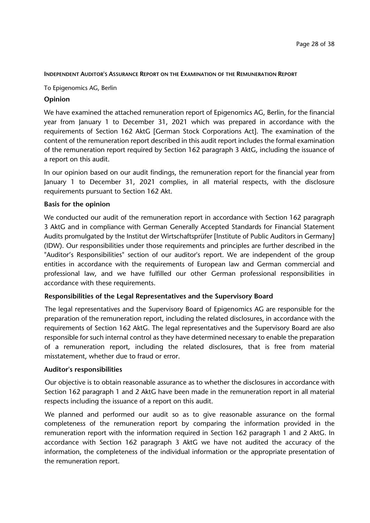# **INDEPENDENT AUDITOR'S ASSURANCE REPORT ON THE EXAMINATION OF THE REMUNERATION REPORT**

To Epigenomics AG, Berlin

# **Opinion**

We have examined the attached remuneration report of Epigenomics AG, Berlin, for the financial year from January 1 to December 31, 2021 which was prepared in accordance with the requirements of Section 162 AktG [German Stock Corporations Act]. The examination of the content of the remuneration report described in this audit report includes the formal examination of the remuneration report required by Section 162 paragraph 3 AktG, including the issuance of a report on this audit.

In our opinion based on our audit findings, the remuneration report for the financial year from January 1 to December 31, 2021 complies, in all material respects, with the disclosure requirements pursuant to Section 162 Akt.

# **Basis for the opinion**

We conducted our audit of the remuneration report in accordance with Section 162 paragraph 3 AktG and in compliance with German Generally Accepted Standards for Financial Statement Audits promulgated by the Institut der Wirtschaftsprüfer [Institute of Public Auditors in Germany] (IDW). Our responsibilities under those requirements and principles are further described in the "Auditor's Responsibilities" section of our auditor's report. We are independent of the group entities in accordance with the requirements of European law and German commercial and professional law, and we have fulfilled our other German professional responsibilities in accordance with these requirements.

# **Responsibilities of the Legal Representatives and the Supervisory Board**

The legal representatives and the Supervisory Board of Epigenomics AG are responsible for the preparation of the remuneration report, including the related disclosures, in accordance with the requirements of Section 162 AktG. The legal representatives and the Supervisory Board are also responsible for such internal control as they have determined necessary to enable the preparation of a remuneration report, including the related disclosures, that is free from material misstatement, whether due to fraud or error.

# **Auditor's responsibilities**

Our objective is to obtain reasonable assurance as to whether the disclosures in accordance with Section 162 paragraph 1 and 2 AktG have been made in the remuneration report in all material respects including the issuance of a report on this audit.

We planned and performed our audit so as to give reasonable assurance on the formal completeness of the remuneration report by comparing the information provided in the remuneration report with the information required in Section 162 paragraph 1 and 2 AktG. In accordance with Section 162 paragraph 3 AktG we have not audited the accuracy of the information, the completeness of the individual information or the appropriate presentation of the remuneration report.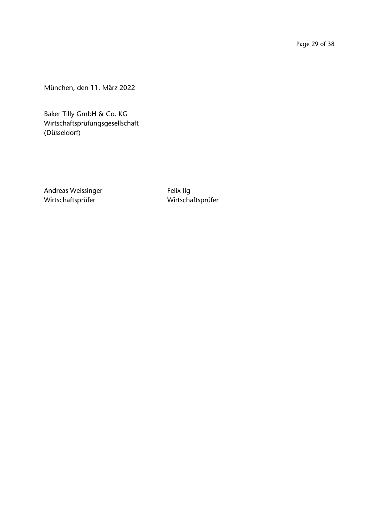Page 29 of 38

München, den 11. März 2022

Baker Tilly GmbH & Co. KG Wirtschaftsprüfungsgesellschaft (Düsseldorf)

Andreas Weissinger Felix Ilg Wirtschaftsprüfer Wirtschaftsprüfer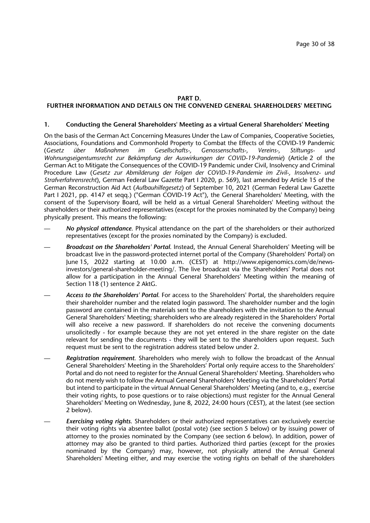### **PART D.**

# **FURTHER INFORMATION AND DETAILS ON THE CONVENED GENERAL SHAREHOLDERS' MEETING**

#### **1. Conducting the General Shareholders' Meeting as a virtual General Shareholders' Meeting**

On the basis of the German Act Concerning Measures Under the Law of Companies, Cooperative Societies, Associations, Foundations and Commonhold Property to Combat the Effects of the COVID-19 Pandemic<br>(Gesetz über Maßnahmen im Gesellschafts-, Genossenschafts-, Vereins-, Stiftungs- und (*Gesetz über Maßnahmen im Gesellschafts-, Genossenschafts-, Vereins-, Stiftungs- und Wohnungseigentumsrecht zur Bekämpfung der Auswirkungen der COVID-19-Pandemie*) (Article 2 of the German Act to Mitigate the Consequences of the COVID-19 Pandemic under Civil, Insolvency and Criminal Procedure Law (*Gesetz zur Abmilderung der Folgen der COVID-19-Pandemie im Zivil-, Insolvenz- und Strafverfahrensrecht*), German Federal Law Gazette Part I 2020, p. 569), last amended by Article 15 of the German Reconstruction Aid Act (*Aufbauhilfegesetz*) of September 10, 2021 (German Federal Law Gazette Part I 2021, pp. 4147 et seqq.) ("German COVID-19 Act"), the General Shareholders' Meeting, with the consent of the Supervisory Board, will be held as a virtual General Shareholders' Meeting without the shareholders or their authorized representatives (except for the proxies nominated by the Company) being physically present. This means the following:

- *No physical attendance*. Physical attendance on the part of the shareholders or their authorized representatives (except for the proxies nominated by the Company) is excluded.
- *Broadcast on the Shareholders' Portal*. Instead, the Annual General Shareholders' Meeting will be broadcast live in the password-protected internet portal of the Company (Shareholders' Portal) on June 15, 2022 starting at 10.00 a.m. (CEST) at http://www.epigenomics.com/de/newsinvestors/general-shareholder-meeting/. The live broadcast via the Shareholders' Portal does not allow for a participation in the Annual General Shareholders' Meeting within the meaning of Section 118 (1) sentence 2 AktG.
- *Access to the Shareholders' Portal*. For access to the Shareholders' Portal, the shareholders require their shareholder number and the related login password. The shareholder number and the login password are contained in the materials sent to the shareholders with the invitation to the Annual General Shareholders' Meeting; shareholders who are already registered in the Shareholders' Portal will also receive a new password. If shareholders do not receive the convening documents unsolicitedly - for example because they are not yet entered in the share register on the date relevant for sending the documents - they will be sent to the shareholders upon request. Such request must be sent to the registration address stated below under 2.
- *Registration requirement*. Shareholders who merely wish to follow the broadcast of the Annual General Shareholders' Meeting in the Shareholders' Portal only require access to the Shareholders' Portal and do not need to register for the Annual General Shareholders' Meeting. Shareholders who do not merely wish to follow the Annual General Shareholders' Meeting via the Shareholders' Portal but intend to participate in the virtual Annual General Shareholders' Meeting (and to, e.g., exercise their voting rights, to pose questions or to raise objections) must register for the Annual General Shareholders' Meeting on Wednesday, June 8, 2022, 24:00 hours (CEST), at the latest (see section 2 below).
- *Exercising voting rights*. Shareholders or their authorized representatives can exclusively exercise their voting rights via absentee ballot (postal vote) (see section 5 below) or by issuing power of attorney to the proxies nominated by the Company (see section 6 below). In addition, power of attorney may also be granted to third parties. Authorized third parties (except for the proxies nominated by the Company) may, however, not physically attend the Annual General Shareholders' Meeting either, and may exercise the voting rights on behalf of the shareholders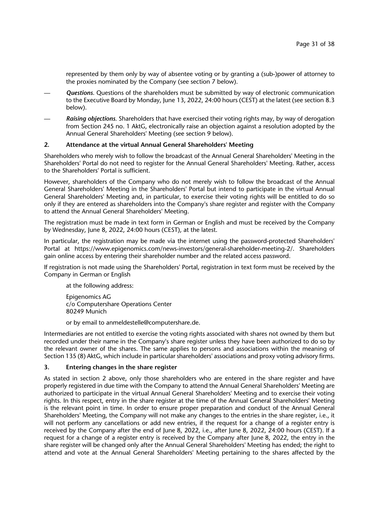represented by them only by way of absentee voting or by granting a (sub-)power of attorney to the proxies nominated by the Company (see section 7 below).

- *Questions*. Questions of the shareholders must be submitted by way of electronic communication to the Executive Board by Monday, June 13, 2022, 24:00 hours (CEST) at the latest (see section 8.3 below).
- *Raising objections*. Shareholders that have exercised their voting rights may, by way of derogation from Section 245 no. 1 AktG, electronically raise an objection against a resolution adopted by the Annual General Shareholders' Meeting (see section 9 below).

### **2. Attendance at the virtual Annual General Shareholders' Meeting**

Shareholders who merely wish to follow the broadcast of the Annual General Shareholders' Meeting in the Shareholders' Portal do not need to register for the Annual General Shareholders' Meeting. Rather, access to the Shareholders' Portal is sufficient.

However, shareholders of the Company who do not merely wish to follow the broadcast of the Annual General Shareholders' Meeting in the Shareholders' Portal but intend to participate in the virtual Annual General Shareholders' Meeting and, in particular, to exercise their voting rights will be entitled to do so only if they are entered as shareholders into the Company's share register and register with the Company to attend the Annual General Shareholders' Meeting.

The registration must be made in text form in German or English and must be received by the Company by Wednesday, June 8, 2022, 24:00 hours (CEST), at the latest.

In particular, the registration may be made via the internet using the password-protected Shareholders' Portal at https://www.epigenomics.com/news-investors/general-shareholder-meeting-2/. Shareholders gain online access by entering their shareholder number and the related access password.

If registration is not made using the Shareholders' Portal, registration in text form must be received by the Company in German or English

at the following address:

Epigenomics AG c/o Computershare Operations Center 80249 Munich

or by email to anmeldestelle@computershare.de.

Intermediaries are not entitled to exercise the voting rights associated with shares not owned by them but recorded under their name in the Company's share register unless they have been authorized to do so by the relevant owner of the shares. The same applies to persons and associations within the meaning of Section 135 (8) AktG, which include in particular shareholders' associations and proxy voting advisory firms.

# **3. Entering changes in the share register**

As stated in section 2 above, only those shareholders who are entered in the share register and have properly registered in due time with the Company to attend the Annual General Shareholders' Meeting are authorized to participate in the virtual Annual General Shareholders' Meeting and to exercise their voting rights. In this respect, entry in the share register at the time of the Annual General Shareholders' Meeting is the relevant point in time. In order to ensure proper preparation and conduct of the Annual General Shareholders' Meeting, the Company will not make any changes to the entries in the share register, i.e., it will not perform any cancellations or add new entries, if the request for a change of a register entry is received by the Company after the end of June 8, 2022, i.e., after June 8, 2022, 24:00 hours (CEST). If a request for a change of a register entry is received by the Company after June 8, 2022, the entry in the share register will be changed only after the Annual General Shareholders' Meeting has ended; the right to attend and vote at the Annual General Shareholders' Meeting pertaining to the shares affected by the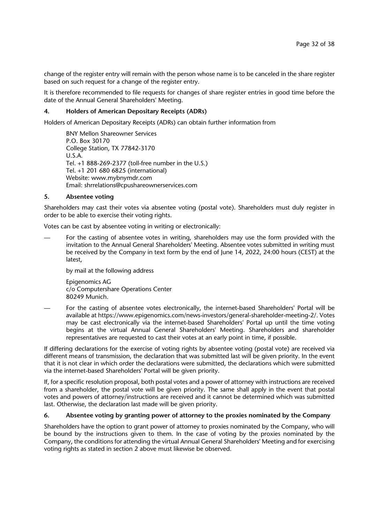change of the register entry will remain with the person whose name is to be canceled in the share register based on such request for a change of the register entry.

It is therefore recommended to file requests for changes of share register entries in good time before the date of the Annual General Shareholders' Meeting.

# **4. Holders of American Depositary Receipts (ADRs)**

Holders of American Depositary Receipts (ADRs) can obtain further information from

BNY Mellon Shareowner Services P.O. Box 30170 College Station, TX 77842-3170 U.S.A. Tel. +1 888-269-2377 (toll-free number in the U.S.) Tel. +1 201 680 6825 (international) Website: www.mybnymdr.com Email: shrrelations@cpushareownerservices.com

#### **5. Absentee voting**

Shareholders may cast their votes via absentee voting (postal vote). Shareholders must duly register in order to be able to exercise their voting rights.

Votes can be cast by absentee voting in writing or electronically:

— For the casting of absentee votes in writing, shareholders may use the form provided with the invitation to the Annual General Shareholders' Meeting. Absentee votes submitted in writing must be received by the Company in text form by the end of June 14, 2022, 24:00 hours (CEST) at the latest,

by mail at the following address

Epigenomics AG c/o Computershare Operations Center 80249 Munich.

— For the casting of absentee votes electronically, the internet-based Shareholders' Portal will be available at https://www.epigenomics.com/news-investors/general-shareholder-meeting-2/. Votes may be cast electronically via the internet-based Shareholders' Portal up until the time voting begins at the virtual Annual General Shareholders' Meeting. Shareholders and shareholder representatives are requested to cast their votes at an early point in time, if possible.

If differing declarations for the exercise of voting rights by absentee voting (postal vote) are received via different means of transmission, the declaration that was submitted last will be given priority. In the event that it is not clear in which order the declarations were submitted, the declarations which were submitted via the internet-based Shareholders' Portal will be given priority.

If, for a specific resolution proposal, both postal votes and a power of attorney with instructions are received from a shareholder, the postal vote will be given priority. The same shall apply in the event that postal votes and powers of attorney/instructions are received and it cannot be determined which was submitted last. Otherwise, the declaration last made will be given priority.

#### **6. Absentee voting by granting power of attorney to the proxies nominated by the Company**

Shareholders have the option to grant power of attorney to proxies nominated by the Company, who will be bound by the instructions given to them. In the case of voting by the proxies nominated by the Company, the conditions for attending the virtual Annual General Shareholders' Meeting and for exercising voting rights as stated in section 2 above must likewise be observed.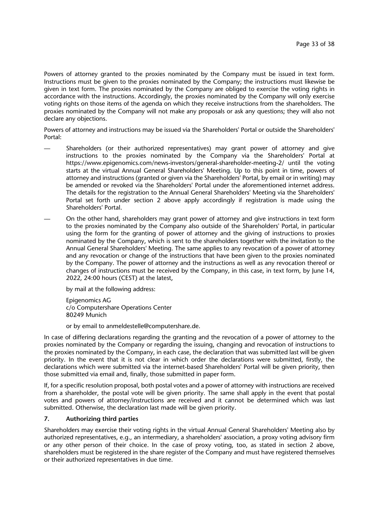Powers of attorney granted to the proxies nominated by the Company must be issued in text form. Instructions must be given to the proxies nominated by the Company; the instructions must likewise be given in text form. The proxies nominated by the Company are obliged to exercise the voting rights in accordance with the instructions. Accordingly, the proxies nominated by the Company will only exercise voting rights on those items of the agenda on which they receive instructions from the shareholders. The proxies nominated by the Company will not make any proposals or ask any questions; they will also not declare any objections.

Powers of attorney and instructions may be issued via the Shareholders' Portal or outside the Shareholders' Portal:

- Shareholders (or their authorized representatives) may grant power of attorney and give instructions to the proxies nominated by the Company via the Shareholders' Portal at https://www.epigenomics.com/news-investors/general-shareholder-meeting-2/ until the voting starts at the virtual Annual General Shareholders' Meeting. Up to this point in time, powers of attorney and instructions (granted or given via the Shareholders' Portal, by email or in writing) may be amended or revoked via the Shareholders' Portal under the aforementioned internet address. The details for the registration to the Annual General Shareholders' Meeting via the Shareholders' Portal set forth under section 2 above apply accordingly if registration is made using the Shareholders' Portal.
- On the other hand, shareholders may grant power of attorney and give instructions in text form to the proxies nominated by the Company also outside of the Shareholders' Portal, in particular using the form for the granting of power of attorney and the giving of instructions to proxies nominated by the Company, which is sent to the shareholders together with the invitation to the Annual General Shareholders' Meeting. The same applies to any revocation of a power of attorney and any revocation or change of the instructions that have been given to the proxies nominated by the Company. The power of attorney and the instructions as well as any revocation thereof or changes of instructions must be received by the Company, in this case, in text form, by June 14, 2022, 24:00 hours (CEST) at the latest,

by mail at the following address:

Epigenomics AG c/o Computershare Operations Center 80249 Munich

or by email to anmeldestelle@computershare.de.

In case of differing declarations regarding the granting and the revocation of a power of attorney to the proxies nominated by the Company or regarding the issuing, changing and revocation of instructions to the proxies nominated by the Company, in each case, the declaration that was submitted last will be given priority. In the event that it is not clear in which order the declarations were submitted, firstly, the declarations which were submitted via the internet-based Shareholders' Portal will be given priority, then those submitted via email and, finally, those submitted in paper form.

If, for a specific resolution proposal, both postal votes and a power of attorney with instructions are received from a shareholder, the postal vote will be given priority. The same shall apply in the event that postal votes and powers of attorney/instructions are received and it cannot be determined which was last submitted. Otherwise, the declaration last made will be given priority.

# **7. Authorizing third parties**

Shareholders may exercise their voting rights in the virtual Annual General Shareholders' Meeting also by authorized representatives, e.g., an intermediary, a shareholders' association, a proxy voting advisory firm or any other person of their choice. In the case of proxy voting, too, as stated in section 2 above, shareholders must be registered in the share register of the Company and must have registered themselves or their authorized representatives in due time.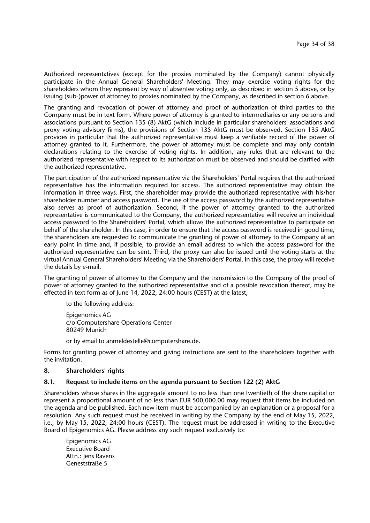Authorized representatives (except for the proxies nominated by the Company) cannot physically participate in the Annual General Shareholders' Meeting. They may exercise voting rights for the shareholders whom they represent by way of absentee voting only, as described in section 5 above, or by issuing (sub-)power of attorney to proxies nominated by the Company, as described in section 6 above.

The granting and revocation of power of attorney and proof of authorization of third parties to the Company must be in text form. Where power of attorney is granted to intermediaries or any persons and associations pursuant to Section 135 (8) AktG (which include in particular shareholders' associations and proxy voting advisory firms), the provisions of Section 135 AktG must be observed. Section 135 AktG provides in particular that the authorized representative must keep a verifiable record of the power of attorney granted to it. Furthermore, the power of attorney must be complete and may only contain declarations relating to the exercise of voting rights. In addition, any rules that are relevant to the authorized representative with respect to its authorization must be observed and should be clarified with the authorized representative.

The participation of the authorized representative via the Shareholders' Portal requires that the authorized representative has the information required for access. The authorized representative may obtain the information in three ways. First, the shareholder may provide the authorized representative with his/her shareholder number and access password. The use of the access password by the authorized representative also serves as proof of authorization. Second, if the power of attorney granted to the authorized representative is communicated to the Company, the authorized representative will receive an individual access password to the Shareholders' Portal, which allows the authorized representative to participate on behalf of the shareholder. In this case, in order to ensure that the access password is received in good time, the shareholders are requested to communicate the granting of power of attorney to the Company at an early point in time and, if possible, to provide an email address to which the access password for the authorized representative can be sent. Third, the proxy can also be issued until the voting starts at the virtual Annual General Shareholders' Meeting via the Shareholders' Portal. In this case, the proxy will receive the details by e-mail.

The granting of power of attorney to the Company and the transmission to the Company of the proof of power of attorney granted to the authorized representative and of a possible revocation thereof, may be effected in text form as of June 14, 2022, 24:00 hours (CEST) at the latest,

to the following address:

Epigenomics AG c/o Computershare Operations Center 80249 Munich

or by email to anmeldestelle@computershare.de.

Forms for granting power of attorney and giving instructions are sent to the shareholders together with the invitation.

#### **8. Shareholders' rights**

#### **8.1. Request to include items on the agenda pursuant to Section 122 (2) AktG**

Shareholders whose shares in the aggregate amount to no less than one twentieth of the share capital or represent a proportional amount of no less than EUR 500,000.00 may request that items be included on the agenda and be published. Each new item must be accompanied by an explanation or a proposal for a resolution. Any such request must be received in writing by the Company by the end of May 15, 2022, i.e., by May 15, 2022, 24:00 hours (CEST). The request must be addressed in writing to the Executive Board of Epigenomics AG. Please address any such request exclusively to:

Epigenomics AG Executive Board Attn.: Jens Ravens Geneststraße 5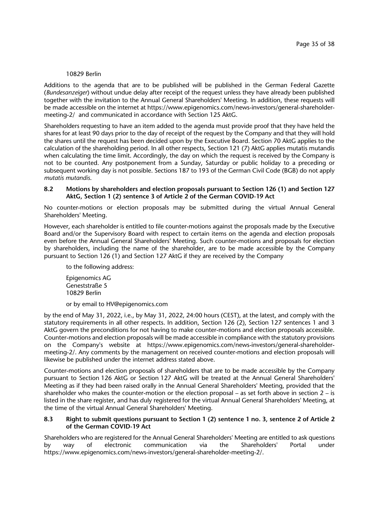### 10829 Berlin

Additions to the agenda that are to be published will be published in the German Federal Gazette (*Bundesanzeiger*) without undue delay after receipt of the request unless they have already been published together with the invitation to the Annual General Shareholders' Meeting. In addition, these requests will be made accessible on the internet at https://www.epigenomics.com/news-investors/general-shareholdermeeting-2/ and communicated in accordance with Section 125 AktG.

Shareholders requesting to have an item added to the agenda must provide proof that they have held the shares for at least 90 days prior to the day of receipt of the request by the Company and that they will hold the shares until the request has been decided upon by the Executive Board. Section 70 AktG applies to the calculation of the shareholding period. In all other respects, Section 121 (7) AktG applies mutatis mutandis when calculating the time limit. Accordingly, the day on which the request is received by the Company is not to be counted. Any postponement from a Sunday, Saturday or public holiday to a preceding or subsequent working day is not possible. Sections 187 to 193 of the German Civil Code (BGB) do not apply *mutatis mutandis*.

### **8.2 Motions by shareholders and election proposals pursuant to Section 126 (1) and Section 127 AktG, Section 1 (2) sentence 3 of Article 2 of the German COVID-19 Act**

No counter-motions or election proposals may be submitted during the virtual Annual General Shareholders' Meeting.

However, each shareholder is entitled to file counter-motions against the proposals made by the Executive Board and/or the Supervisory Board with respect to certain items on the agenda and election proposals even before the Annual General Shareholders' Meeting. Such counter-motions and proposals for election by shareholders, including the name of the shareholder, are to be made accessible by the Company pursuant to Section 126 (1) and Section 127 AktG if they are received by the Company

to the following address:

Epigenomics AG Geneststraße 5 10829 Berlin

or by email to HV@epigenomics.com

by the end of May 31, 2022, i.e., by May 31, 2022, 24:00 hours (CEST), at the latest, and comply with the statutory requirements in all other respects. In addition, Section 126 (2), Section 127 sentences 1 and 3 AktG govern the preconditions for not having to make counter-motions and election proposals accessible. Counter-motions and election proposals will be made accessible in compliance with the statutory provisions on the Company's website at https://www.epigenomics.com/news-investors/general-shareholdermeeting-2/. Any comments by the management on received counter-motions and election proposals will likewise be published under the internet address stated above.

Counter-motions and election proposals of shareholders that are to be made accessible by the Company pursuant to Section 126 AktG or Section 127 AktG will be treated at the Annual General Shareholders' Meeting as if they had been raised orally in the Annual General Shareholders' Meeting, provided that the shareholder who makes the counter-motion or the election proposal – as set forth above in section  $2 - is$ listed in the share register, and has duly registered for the virtual Annual General Shareholders' Meeting, at the time of the virtual Annual General Shareholders' Meeting.

### **8.3 Right to submit questions pursuant to Section 1 (2) sentence 1 no. 3, sentence 2 of Article 2 of the German COVID-19 Act**

Shareholders who are registered for the Annual General Shareholders' Meeting are entitled to ask questions by way of electronic communication via the Shareholders' Portal under https://www.epigenomics.com/news-investors/general-shareholder-meeting-2/.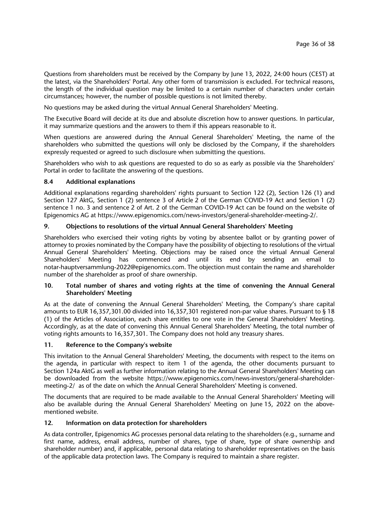Questions from shareholders must be received by the Company by June 13, 2022, 24:00 hours (CEST) at the latest, via the Shareholders' Portal. Any other form of transmission is excluded. For technical reasons, the length of the individual question may be limited to a certain number of characters under certain circumstances; however, the number of possible questions is not limited thereby.

No questions may be asked during the virtual Annual General Shareholders' Meeting.

The Executive Board will decide at its due and absolute discretion how to answer questions. In particular, it may summarize questions and the answers to them if this appears reasonable to it.

When questions are answered during the Annual General Shareholders' Meeting, the name of the shareholders who submitted the questions will only be disclosed by the Company, if the shareholders expressly requested or agreed to such disclosure when submitting the questions.

Shareholders who wish to ask questions are requested to do so as early as possible via the Shareholders' Portal in order to facilitate the answering of the questions.

# **8.4 Additional explanations**

Additional explanations regarding shareholders' rights pursuant to Section 122 (2), Section 126 (1) and Section 127 AktG, Section 1 (2) sentence 3 of Article 2 of the German COVID-19 Act and Section 1 (2) sentence 1 no. 3 and sentence 2 of Art. 2 of the German COVID-19 Act can be found on the website of Epigenomics AG at https://www.epigenomics.com/news-investors/general-shareholder-meeting-2/.

# **9. Objections to resolutions of the virtual Annual General Shareholders' Meeting**

Shareholders who exercised their voting rights by voting by absentee ballot or by granting power of attorney to proxies nominated by the Company have the possibility of objecting to resolutions of the virtual Annual General Shareholders' Meeting. Objections may be raised once the virtual Annual General Shareholders' Meeting has commenced and until its end by sending an email to notar-hauptversammlung-2022@epigenomics.com. The objection must contain the name and shareholder number of the shareholder as proof of share ownership.

# **10. Total number of shares and voting rights at the time of convening the Annual General Shareholders' Meeting**

As at the date of convening the Annual General Shareholders' Meeting, the Company's share capital amounts to EUR 16,357,301.00 divided into 16,357,301 registered non-par value shares. Pursuant to § 18 (1) of the Articles of Association, each share entitles to one vote in the General Shareholders' Meeting. Accordingly, as at the date of convening this Annual General Shareholders' Meeting, the total number of voting rights amounts to 16,357,301. The Company does not hold any treasury shares.

# **11. Reference to the Company's website**

This invitation to the Annual General Shareholders' Meeting, the documents with respect to the items on the agenda, in particular with respect to item 1 of the agenda, the other documents pursuant to Section 124a AktG as well as further information relating to the Annual General Shareholders' Meeting can be downloaded from the website https://www.epigenomics.com/news-investors/general-shareholdermeeting-2/ as of the date on which the Annual General Shareholders' Meeting is convened.

The documents that are required to be made available to the Annual General Shareholders' Meeting will also be available during the Annual General Shareholders' Meeting on June 15, 2022 on the abovementioned website*.*

# **12. Information on data protection for shareholders**

As data controller, Epigenomics AG processes personal data relating to the shareholders (e.g., surname and first name, address, email address, number of shares, type of share, type of share ownership and shareholder number) and, if applicable, personal data relating to shareholder representatives on the basis of the applicable data protection laws. The Company is required to maintain a share register.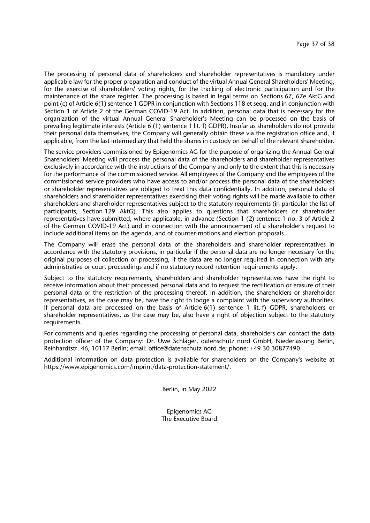The processing of personal data of shareholders and shareholder representatives is mandatory under applicable law for the proper preparation and conduct of the virtual Annual General Shareholders' Meeting, for the exercise of shareholders' voting rights, for the tracking of electronic participation and for the maintenance of the share register. The processing is based in legal terms on Sections 67, 67e AktG and point (c) of Article 6(1) sentence 1 GDPR in conjunction with Sections 118 et seqq. and in conjunction with Section 1 of Article 2 of the German COVID-19 Act. In addition, personal data that is necessary for the organization of the virtual Annual General Shareholder's Meeting can be processed on the basis of prevailing legitimate interests (Article 6 (1) sentence 1 lit. f) GDPR). Insofar as shareholders do not provide their personal data themselves, the Company will generally obtain these via the registration office and, if applicable, from the last intermediary that held the shares in custody on behalf of the relevant shareholder.

The service providers commissioned by Epigenomics AG for the purpose of organizing the Annual General Shareholders' Meeting will process the personal data of the shareholders and shareholder representatives exclusively in accordance with the instructions of the Company and only to the extent that this is necessary for the performance of the commissioned service. All employees of the Company and the employees of the commissioned service providers who have access to and/or process the personal data of the shareholders or shareholder representatives are obliged to treat this data confidentially. In addition, personal data of shareholders and shareholder representatives exercising their voting rights will be made available to other shareholders and shareholder representatives subject to the statutory requirements (in particular the list of participants, Section 129 AktG). This also applies to questions that shareholders or shareholder representatives have submitted, where applicable, in advance (Section 1 (2) sentence 1 no. 3 of Article 2 of the German COVID-19 Act) and in connection with the announcement of a shareholder's request to include additional items on the agenda, and of counter-motions and election proposals.

The Company will erase the personal data of the shareholders and shareholder representatives in accordance with the statutory provisions, in particular if the personal data are no longer necessary for the original purposes of collection or processing, if the data are no longer required in connection with any administrative or court proceedings and if no statutory record retention requirements apply.

Subject to the statutory requirements, shareholders and shareholder representatives have the right to receive information about their processed personal data and to request the rectification or erasure of their personal data or the restriction of the processing thereof. In addition, the shareholders or shareholder representatives, as the case may be, have the right to lodge a complaint with the supervisory authorities. If personal data are processed on the basis of Article 6(1) sentence 1 lit. f) GDPR, shareholders or shareholder representatives, as the case may be, also have a right of objection subject to the statutory requirements.

For comments and queries regarding the processing of personal data, shareholders can contact the data protection officer of the Company: Dr. Uwe Schläger, datenschutz nord GmbH, Niederlassung Berlin, Reinhardtstr. 46, 10117 Berlin; email: office@datenschutz-nord.de; phone: +49 30 30877490.

Additional information on data protection is available for shareholders on the Company's website at https://www.epigenomics.com/imprint/data-protection-statement/.

Berlin, in May 2022

Epigenomics AG The Executive Board